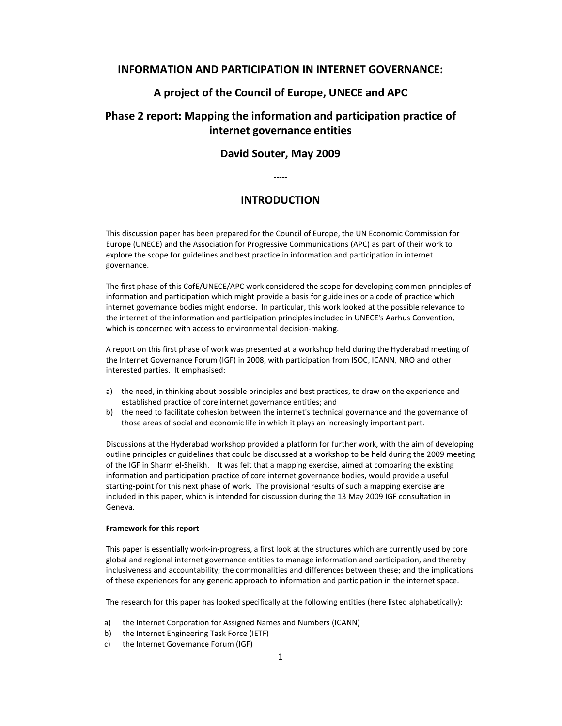# INFORMATION AND PARTICIPATION IN INTERNET GOVERNANCE:

# A project of the Council of Europe, UNECE and APC

# Phase 2 report: Mapping the information and participation practice of internet governance entities

# David Souter, May 2009

-----

# INTRODUCTION

This discussion paper has been prepared for the Council of Europe, the UN Economic Commission for Europe (UNECE) and the Association for Progressive Communications (APC) as part of their work to explore the scope for guidelines and best practice in information and participation in internet governance.

The first phase of this CofE/UNECE/APC work considered the scope for developing common principles of information and participation which might provide a basis for guidelines or a code of practice which internet governance bodies might endorse. In particular, this work looked at the possible relevance to the internet of the information and participation principles included in UNECE's Aarhus Convention, which is concerned with access to environmental decision-making.

A report on this first phase of work was presented at a workshop held during the Hyderabad meeting of the Internet Governance Forum (IGF) in 2008, with participation from ISOC, ICANN, NRO and other interested parties. It emphasised:

- a) the need, in thinking about possible principles and best practices, to draw on the experience and established practice of core internet governance entities; and
- b) the need to facilitate cohesion between the internet's technical governance and the governance of those areas of social and economic life in which it plays an increasingly important part.

Discussions at the Hyderabad workshop provided a platform for further work, with the aim of developing outline principles or guidelines that could be discussed at a workshop to be held during the 2009 meeting of the IGF in Sharm el-Sheikh. It was felt that a mapping exercise, aimed at comparing the existing information and participation practice of core internet governance bodies, would provide a useful starting-point for this next phase of work. The provisional results of such a mapping exercise are included in this paper, which is intended for discussion during the 13 May 2009 IGF consultation in Geneva.

# Framework for this report

This paper is essentially work-in-progress, a first look at the structures which are currently used by core global and regional internet governance entities to manage information and participation, and thereby inclusiveness and accountability; the commonalities and differences between these; and the implications of these experiences for any generic approach to information and participation in the internet space.

The research for this paper has looked specifically at the following entities (here listed alphabetically):

- a) the Internet Corporation for Assigned Names and Numbers (ICANN)
- b) the Internet Engineering Task Force (IETF)
- c) the Internet Governance Forum (IGF)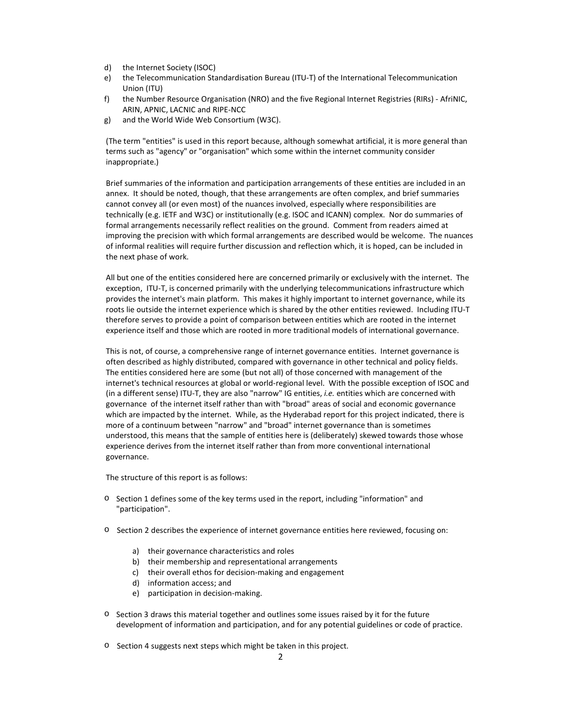- d) the Internet Society (ISOC)
- e) the Telecommunication Standardisation Bureau (ITU-T) of the International Telecommunication Union (ITU)
- f) the Number Resource Organisation (NRO) and the five Regional Internet Registries (RIRs) AfriNIC, ARIN, APNIC, LACNIC and RIPE-NCC
- g) and the World Wide Web Consortium (W3C).

(The term "entities" is used in this report because, although somewhat artificial, it is more general than terms such as "agency" or "organisation" which some within the internet community consider inappropriate.)

Brief summaries of the information and participation arrangements of these entities are included in an annex. It should be noted, though, that these arrangements are often complex, and brief summaries cannot convey all (or even most) of the nuances involved, especially where responsibilities are technically (e.g. IETF and W3C) or institutionally (e.g. ISOC and ICANN) complex. Nor do summaries of formal arrangements necessarily reflect realities on the ground. Comment from readers aimed at improving the precision with which formal arrangements are described would be welcome. The nuances of informal realities will require further discussion and reflection which, it is hoped, can be included in the next phase of work.

All but one of the entities considered here are concerned primarily or exclusively with the internet. The exception, ITU-T, is concerned primarily with the underlying telecommunications infrastructure which provides the internet's main platform. This makes it highly important to internet governance, while its roots lie outside the internet experience which is shared by the other entities reviewed. Including ITU-T therefore serves to provide a point of comparison between entities which are rooted in the internet experience itself and those which are rooted in more traditional models of international governance.

This is not, of course, a comprehensive range of internet governance entities. Internet governance is often described as highly distributed, compared with governance in other technical and policy fields. The entities considered here are some (but not all) of those concerned with management of the internet's technical resources at global or world-regional level. With the possible exception of ISOC and (in a different sense) ITU-T, they are also "narrow" IG entities, i.e. entities which are concerned with governance of the internet itself rather than with "broad" areas of social and economic governance which are impacted by the internet. While, as the Hyderabad report for this project indicated, there is more of a continuum between "narrow" and "broad" internet governance than is sometimes understood, this means that the sample of entities here is (deliberately) skewed towards those whose experience derives from the internet itself rather than from more conventional international governance.

The structure of this report is as follows:

- o Section 1 defines some of the key terms used in the report, including "information" and "participation".
- o Section 2 describes the experience of internet governance entities here reviewed, focusing on:
	- a) their governance characteristics and roles
	- b) their membership and representational arrangements
	- c) their overall ethos for decision-making and engagement
	- d) information access; and
	- e) participation in decision-making.
- $\circ$  Section 3 draws this material together and outlines some issues raised by it for the future development of information and participation, and for any potential guidelines or code of practice.
- o Section 4 suggests next steps which might be taken in this project.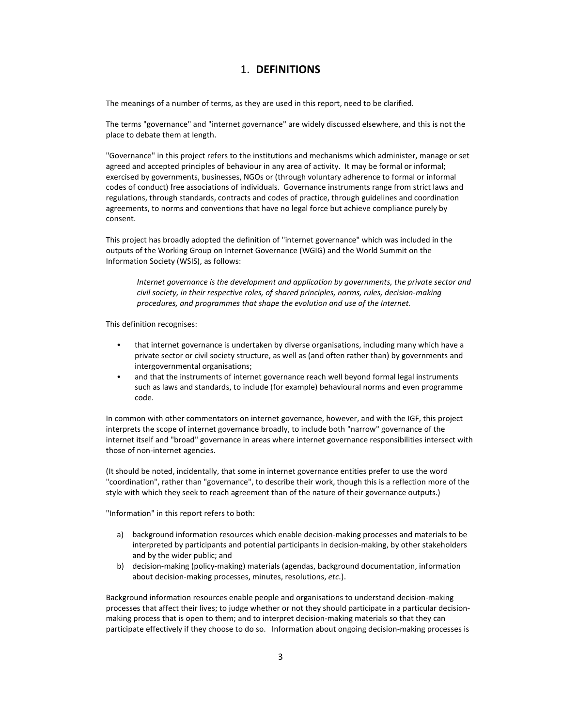# 1. DEFINITIONS

The meanings of a number of terms, as they are used in this report, need to be clarified.

The terms "governance" and "internet governance" are widely discussed elsewhere, and this is not the place to debate them at length.

"Governance" in this project refers to the institutions and mechanisms which administer, manage or set agreed and accepted principles of behaviour in any area of activity. It may be formal or informal; exercised by governments, businesses, NGOs or (through voluntary adherence to formal or informal codes of conduct) free associations of individuals. Governance instruments range from strict laws and regulations, through standards, contracts and codes of practice, through guidelines and coordination agreements, to norms and conventions that have no legal force but achieve compliance purely by consent.

This project has broadly adopted the definition of "internet governance" which was included in the outputs of the Working Group on Internet Governance (WGIG) and the World Summit on the Information Society (WSIS), as follows:

Internet governance is the development and application by governments, the private sector and civil society, in their respective roles, of shared principles, norms, rules, decision-making procedures, and programmes that shape the evolution and use of the Internet.

This definition recognises:

- that internet governance is undertaken by diverse organisations, including many which have a private sector or civil society structure, as well as (and often rather than) by governments and intergovernmental organisations;
- and that the instruments of internet governance reach well beyond formal legal instruments such as laws and standards, to include (for example) behavioural norms and even programme code.

In common with other commentators on internet governance, however, and with the IGF, this project interprets the scope of internet governance broadly, to include both "narrow" governance of the internet itself and "broad" governance in areas where internet governance responsibilities intersect with those of non-internet agencies.

(It should be noted, incidentally, that some in internet governance entities prefer to use the word "coordination", rather than "governance", to describe their work, though this is a reflection more of the style with which they seek to reach agreement than of the nature of their governance outputs.)

"Information" in this report refers to both:

- a) background information resources which enable decision-making processes and materials to be interpreted by participants and potential participants in decision-making, by other stakeholders and by the wider public; and
- b) decision-making (policy-making) materials (agendas, background documentation, information about decision-making processes, minutes, resolutions, etc.).

Background information resources enable people and organisations to understand decision-making processes that affect their lives; to judge whether or not they should participate in a particular decisionmaking process that is open to them; and to interpret decision-making materials so that they can participate effectively if they choose to do so. Information about ongoing decision-making processes is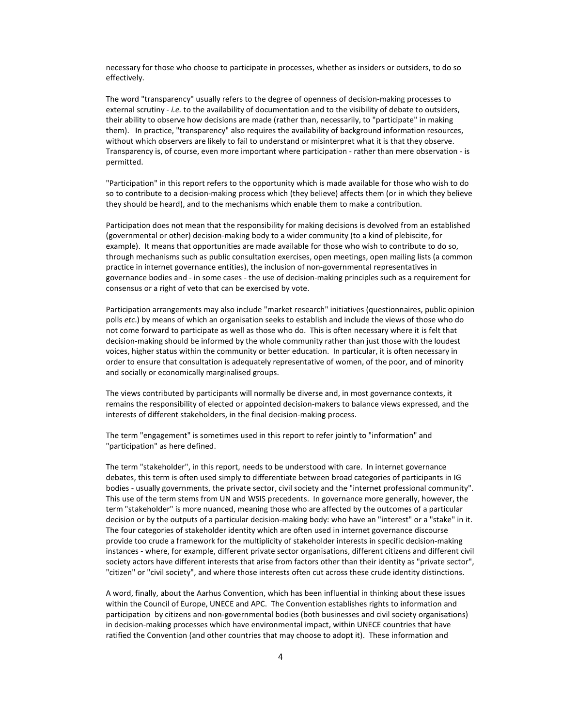necessary for those who choose to participate in processes, whether as insiders or outsiders, to do so effectively.

The word "transparency" usually refers to the degree of openness of decision-making processes to external scrutiny - *i.e.* to the availability of documentation and to the visibility of debate to outsiders, their ability to observe how decisions are made (rather than, necessarily, to "participate" in making them). In practice, "transparency" also requires the availability of background information resources, without which observers are likely to fail to understand or misinterpret what it is that they observe. Transparency is, of course, even more important where participation - rather than mere observation - is permitted.

"Participation" in this report refers to the opportunity which is made available for those who wish to do so to contribute to a decision-making process which (they believe) affects them (or in which they believe they should be heard), and to the mechanisms which enable them to make a contribution.

Participation does not mean that the responsibility for making decisions is devolved from an established (governmental or other) decision-making body to a wider community (to a kind of plebiscite, for example). It means that opportunities are made available for those who wish to contribute to do so, through mechanisms such as public consultation exercises, open meetings, open mailing lists (a common practice in internet governance entities), the inclusion of non-governmental representatives in governance bodies and - in some cases - the use of decision-making principles such as a requirement for consensus or a right of veto that can be exercised by vote.

Participation arrangements may also include "market research" initiatives (questionnaires, public opinion polls etc.) by means of which an organisation seeks to establish and include the views of those who do not come forward to participate as well as those who do. This is often necessary where it is felt that decision-making should be informed by the whole community rather than just those with the loudest voices, higher status within the community or better education. In particular, it is often necessary in order to ensure that consultation is adequately representative of women, of the poor, and of minority and socially or economically marginalised groups.

The views contributed by participants will normally be diverse and, in most governance contexts, it remains the responsibility of elected or appointed decision-makers to balance views expressed, and the interests of different stakeholders, in the final decision-making process.

The term "engagement" is sometimes used in this report to refer jointly to "information" and "participation" as here defined.

The term "stakeholder", in this report, needs to be understood with care. In internet governance debates, this term is often used simply to differentiate between broad categories of participants in IG bodies - usually governments, the private sector, civil society and the "internet professional community". This use of the term stems from UN and WSIS precedents. In governance more generally, however, the term "stakeholder" is more nuanced, meaning those who are affected by the outcomes of a particular decision or by the outputs of a particular decision-making body: who have an "interest" or a "stake" in it. The four categories of stakeholder identity which are often used in internet governance discourse provide too crude a framework for the multiplicity of stakeholder interests in specific decision-making instances - where, for example, different private sector organisations, different citizens and different civil society actors have different interests that arise from factors other than their identity as "private sector", "citizen" or "civil society", and where those interests often cut across these crude identity distinctions.

A word, finally, about the Aarhus Convention, which has been influential in thinking about these issues within the Council of Europe, UNECE and APC. The Convention establishes rights to information and participation by citizens and non-governmental bodies (both businesses and civil society organisations) in decision-making processes which have environmental impact, within UNECE countries that have ratified the Convention (and other countries that may choose to adopt it). These information and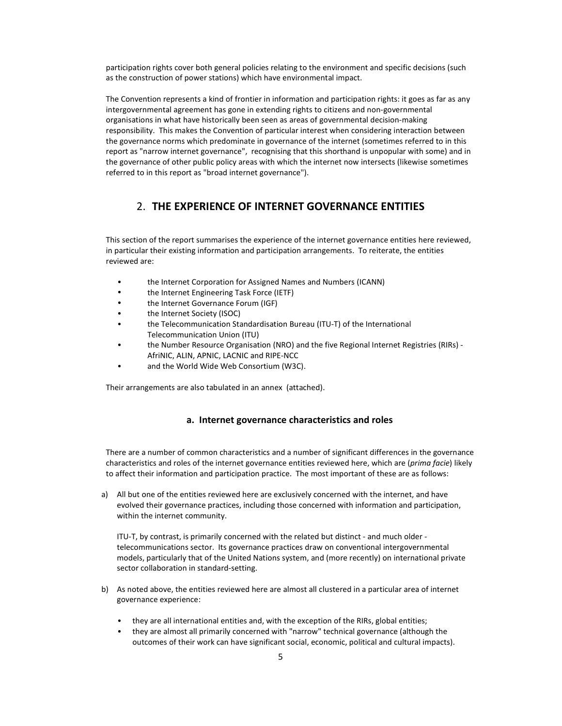participation rights cover both general policies relating to the environment and specific decisions (such as the construction of power stations) which have environmental impact.

The Convention represents a kind of frontier in information and participation rights: it goes as far as any intergovernmental agreement has gone in extending rights to citizens and non-governmental organisations in what have historically been seen as areas of governmental decision-making responsibility. This makes the Convention of particular interest when considering interaction between the governance norms which predominate in governance of the internet (sometimes referred to in this report as "narrow internet governance", recognising that this shorthand is unpopular with some) and in the governance of other public policy areas with which the internet now intersects (likewise sometimes referred to in this report as "broad internet governance").

# 2. THE EXPERIENCE OF INTERNET GOVERNANCE ENTITIES

This section of the report summarises the experience of the internet governance entities here reviewed, in particular their existing information and participation arrangements. To reiterate, the entities reviewed are:

- the Internet Corporation for Assigned Names and Numbers (ICANN)
- the Internet Engineering Task Force (IETF)
- the Internet Governance Forum (IGF)
- the Internet Society (ISOC)
- the Telecommunication Standardisation Bureau (ITU-T) of the International Telecommunication Union (ITU)
- the Number Resource Organisation (NRO) and the five Regional Internet Registries (RIRs) AfriNIC, ALIN, APNIC, LACNIC and RIPE-NCC
- and the World Wide Web Consortium (W3C).

Their arrangements are also tabulated in an annex (attached).

# a. Internet governance characteristics and roles

There are a number of common characteristics and a number of significant differences in the governance characteristics and roles of the internet governance entities reviewed here, which are (prima facie) likely to affect their information and participation practice. The most important of these are as follows:

a) All but one of the entities reviewed here are exclusively concerned with the internet, and have evolved their governance practices, including those concerned with information and participation, within the internet community.

ITU-T, by contrast, is primarily concerned with the related but distinct - and much older telecommunications sector. Its governance practices draw on conventional intergovernmental models, particularly that of the United Nations system, and (more recently) on international private sector collaboration in standard-setting.

- b) As noted above, the entities reviewed here are almost all clustered in a particular area of internet governance experience:
	- they are all international entities and, with the exception of the RIRs, global entities;
	- they are almost all primarily concerned with "narrow" technical governance (although the outcomes of their work can have significant social, economic, political and cultural impacts).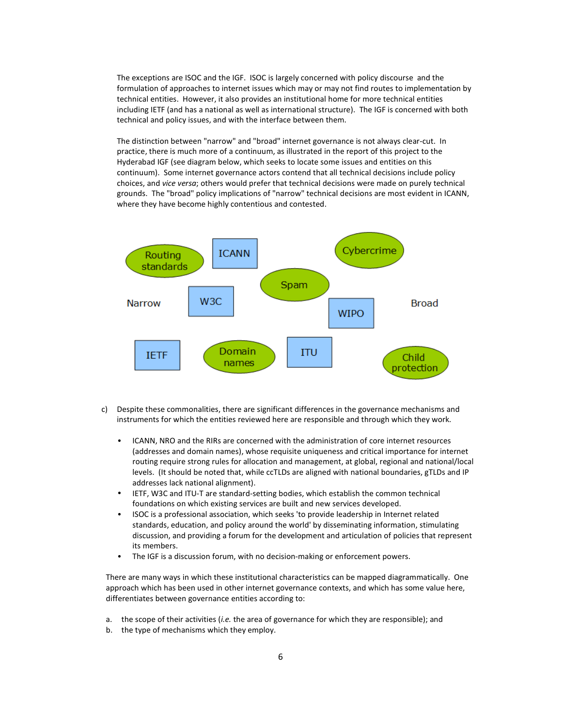The exceptions are ISOC and the IGF. ISOC is largely concerned with policy discourse and the formulation of approaches to internet issues which may or may not find routes to implementation by technical entities. However, it also provides an institutional home for more technical entities including IETF (and has a national as well as international structure). The IGF is concerned with both technical and policy issues, and with the interface between them.

The distinction between "narrow" and "broad" internet governance is not always clear-cut. In practice, there is much more of a continuum, as illustrated in the report of this project to the Hyderabad IGF (see diagram below, which seeks to locate some issues and entities on this continuum). Some internet governance actors contend that all technical decisions include policy choices, and vice versa; others would prefer that technical decisions were made on purely technical grounds. The "broad" policy implications of "narrow" technical decisions are most evident in ICANN, where they have become highly contentious and contested.



- c) Despite these commonalities, there are significant differences in the governance mechanisms and instruments for which the entities reviewed here are responsible and through which they work.
	- ICANN, NRO and the RIRs are concerned with the administration of core internet resources (addresses and domain names), whose requisite uniqueness and critical importance for internet routing require strong rules for allocation and management, at global, regional and national/local levels. (It should be noted that, while ccTLDs are aligned with national boundaries, gTLDs and IP addresses lack national alignment).
	- IETF, W3C and ITU-T are standard-setting bodies, which establish the common technical foundations on which existing services are built and new services developed.
	- ISOC is a professional association, which seeks 'to provide leadership in Internet related standards, education, and policy around the world' by disseminating information, stimulating discussion, and providing a forum for the development and articulation of policies that represent its members.
	- The IGF is a discussion forum, with no decision-making or enforcement powers.

There are many ways in which these institutional characteristics can be mapped diagrammatically. One approach which has been used in other internet governance contexts, and which has some value here, differentiates between governance entities according to:

- a. the scope of their activities (i.e. the area of governance for which they are responsible); and
- b. the type of mechanisms which they employ.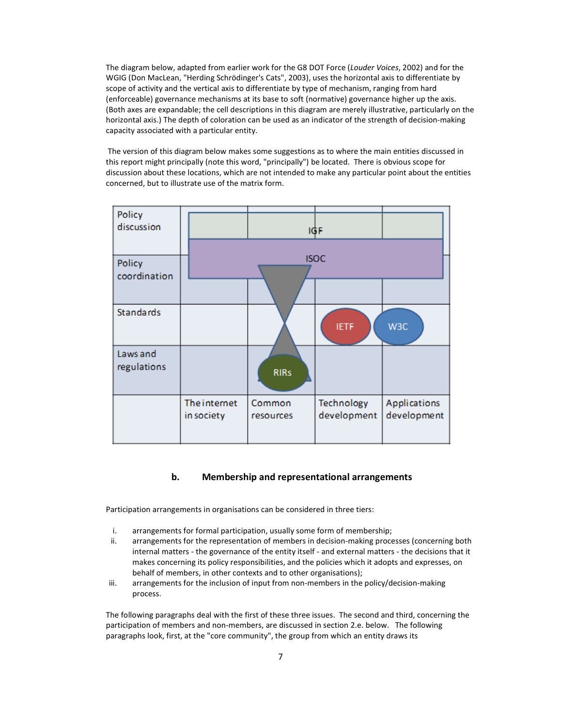The diagram below, adapted from earlier work for the G8 DOT Force (Louder Voices, 2002) and for the WGIG (Don MacLean, "Herding Schrödinger's Cats", 2003), uses the horizontal axis to differentiate by scope of activity and the vertical axis to differentiate by type of mechanism, ranging from hard (enforceable) governance mechanisms at its base to soft (normative) governance higher up the axis. (Both axes are expandable; the cell descriptions in this diagram are merely illustrative, particularly on the horizontal axis.) The depth of coloration can be used as an indicator of the strength of decision-making capacity associated with a particular entity.

 The version of this diagram below makes some suggestions as to where the main entities discussed in this report might principally (note this word, "principally") be located. There is obvious scope for discussion about these locations, which are not intended to make any particular point about the entities concerned, but to illustrate use of the matrix form.

| Policy<br>discussion    |                            |                     | 1GF                       |                             |
|-------------------------|----------------------------|---------------------|---------------------------|-----------------------------|
| Policy<br>coordination  |                            |                     | <b>ISOC</b>               |                             |
| <b>Standards</b>        |                            |                     | <b>IETF</b>               | W3C                         |
| Laws and<br>regulations |                            | <b>RIRs</b>         |                           |                             |
|                         | The internet<br>in society | Common<br>resources | Technology<br>development | Applications<br>development |

# b. Membership and representational arrangements

Participation arrangements in organisations can be considered in three tiers:

- i. arrangements for formal participation, usually some form of membership;
- ii. arrangements for the representation of members in decision-making processes (concerning both internal matters - the governance of the entity itself - and external matters - the decisions that it makes concerning its policy responsibilities, and the policies which it adopts and expresses, on behalf of members, in other contexts and to other organisations);
- iii. arrangements for the inclusion of input from non-members in the policy/decision-making process.

The following paragraphs deal with the first of these three issues. The second and third, concerning the participation of members and non-members, are discussed in section 2.e. below. The following paragraphs look, first, at the "core community", the group from which an entity draws its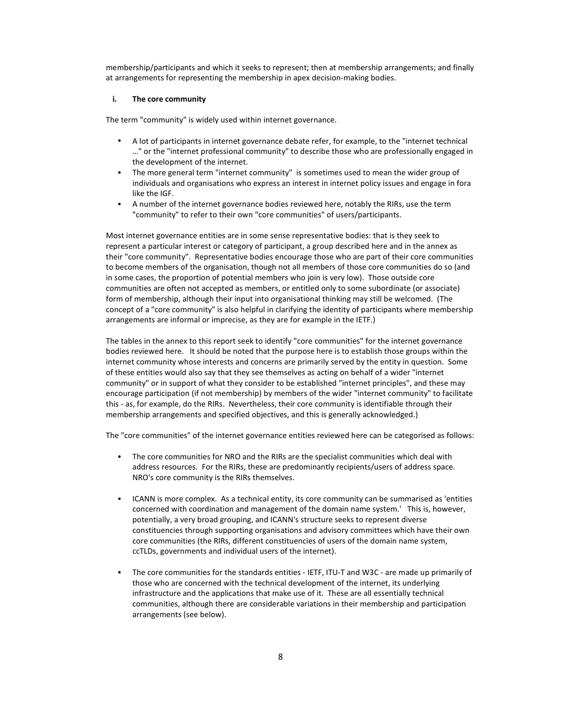membership/participants and which it seeks to represent; then at membership arrangements; and finally at arrangements for representing the membership in apex decision-making bodies.

### i. The core community

The term "community" is widely used within internet governance.

- A lot of participants in internet governance debate refer, for example, to the "internet technical …" or the "internet professional community" to describe those who are professionally engaged in the development of the internet.
- The more general term "internet community" is sometimes used to mean the wider group of individuals and organisations who express an interest in internet policy issues and engage in fora like the IGF.
- A number of the internet governance bodies reviewed here, notably the RIRs, use the term "community" to refer to their own "core communities" of users/participants.

Most internet governance entities are in some sense representative bodies: that is they seek to represent a particular interest or category of participant, a group described here and in the annex as their "core community". Representative bodies encourage those who are part of their core communities to become members of the organisation, though not all members of those core communities do so (and in some cases, the proportion of potential members who join is very low). Those outside core communities are often not accepted as members, or entitled only to some subordinate (or associate) form of membership, although their input into organisational thinking may still be welcomed. (The concept of a "core community" is also helpful in clarifying the identity of participants where membership arrangements are informal or imprecise, as they are for example in the IETF.)

The tables in the annex to this report seek to identify "core communities" for the internet governance bodies reviewed here. It should be noted that the purpose here is to establish those groups within the internet community whose interests and concerns are primarily served by the entity in question. Some of these entities would also say that they see themselves as acting on behalf of a wider "internet community" or in support of what they consider to be established "internet principles", and these may encourage participation (if not membership) by members of the wider "internet community" to facilitate this - as, for example, do the RIRs. Nevertheless, their core community is identifiable through their membership arrangements and specified objectives, and this is generally acknowledged.)

The "core communities" of the internet governance entities reviewed here can be categorised as follows:

- The core communities for NRO and the RIRs are the specialist communities which deal with address resources. For the RIRs, these are predominantly recipients/users of address space. NRO's core community is the RIRs themselves.
- ICANN is more complex. As a technical entity, its core community can be summarised as 'entities concerned with coordination and management of the domain name system.' This is, however, potentially, a very broad grouping, and ICANN's structure seeks to represent diverse constituencies through supporting organisations and advisory committees which have their own core communities (the RIRs, different constituencies of users of the domain name system, ccTLDs, governments and individual users of the internet).
- The core communities for the standards entities IETF, ITU-T and W3C are made up primarily of those who are concerned with the technical development of the internet, its underlying infrastructure and the applications that make use of it. These are all essentially technical communities, although there are considerable variations in their membership and participation arrangements (see below).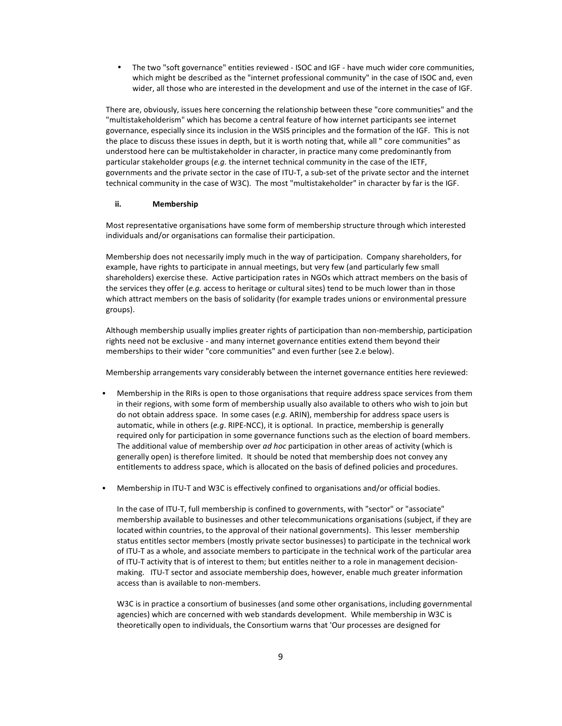• The two "soft governance" entities reviewed - ISOC and IGF - have much wider core communities, which might be described as the "internet professional community" in the case of ISOC and, even wider, all those who are interested in the development and use of the internet in the case of IGF.

There are, obviously, issues here concerning the relationship between these "core communities" and the "multistakeholderism" which has become a central feature of how internet participants see internet governance, especially since its inclusion in the WSIS principles and the formation of the IGF. This is not the place to discuss these issues in depth, but it is worth noting that, while all " core communities" as understood here can be multistakeholder in character, in practice many come predominantly from particular stakeholder groups (e.g. the internet technical community in the case of the IETF, governments and the private sector in the case of ITU-T, a sub-set of the private sector and the internet technical community in the case of W3C). The most "multistakeholder" in character by far is the IGF.

# ii. Membership

Most representative organisations have some form of membership structure through which interested individuals and/or organisations can formalise their participation.

Membership does not necessarily imply much in the way of participation. Company shareholders, for example, have rights to participate in annual meetings, but very few (and particularly few small shareholders) exercise these. Active participation rates in NGOs which attract members on the basis of the services they offer (e.g. access to heritage or cultural sites) tend to be much lower than in those which attract members on the basis of solidarity (for example trades unions or environmental pressure groups).

Although membership usually implies greater rights of participation than non-membership, participation rights need not be exclusive - and many internet governance entities extend them beyond their memberships to their wider "core communities" and even further (see 2.e below).

Membership arrangements vary considerably between the internet governance entities here reviewed:

- Membership in the RIRs is open to those organisations that require address space services from them in their regions, with some form of membership usually also available to others who wish to join but do not obtain address space. In some cases (e.g. ARIN), membership for address space users is automatic, while in others (e.g. RIPE-NCC), it is optional. In practice, membership is generally required only for participation in some governance functions such as the election of board members. The additional value of membership over ad hoc participation in other areas of activity (which is generally open) is therefore limited. It should be noted that membership does not convey any entitlements to address space, which is allocated on the basis of defined policies and procedures.
- Membership in ITU-T and W3C is effectively confined to organisations and/or official bodies.

In the case of ITU-T, full membership is confined to governments, with "sector" or "associate" membership available to businesses and other telecommunications organisations (subject, if they are located within countries, to the approval of their national governments). This lesser membership status entitles sector members (mostly private sector businesses) to participate in the technical work of ITU-T as a whole, and associate members to participate in the technical work of the particular area of ITU-T activity that is of interest to them; but entitles neither to a role in management decisionmaking. ITU-T sector and associate membership does, however, enable much greater information access than is available to non-members.

W3C is in practice a consortium of businesses (and some other organisations, including governmental agencies) which are concerned with web standards development. While membership in W3C is theoretically open to individuals, the Consortium warns that 'Our processes are designed for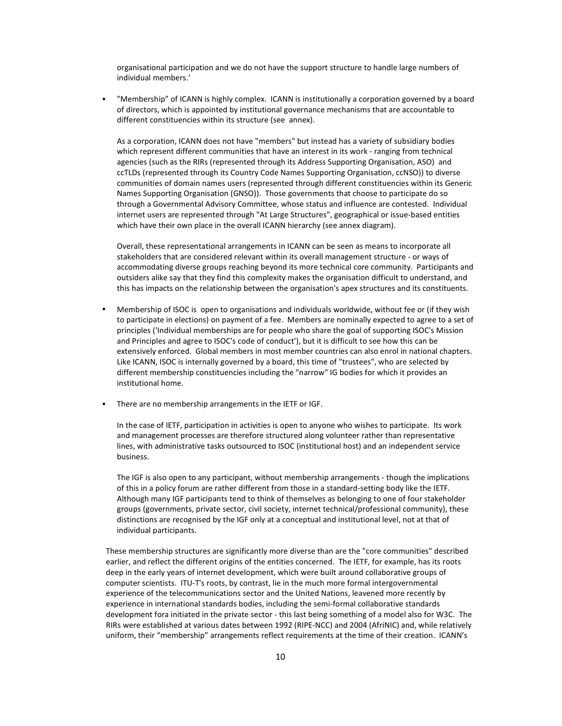organisational participation and we do not have the support structure to handle large numbers of individual members.'

• "Membership" of ICANN is highly complex. ICANN is institutionally a corporation governed by a board of directors, which is appointed by institutional governance mechanisms that are accountable to different constituencies within its structure (see annex).

As a corporation, ICANN does not have "members" but instead has a variety of subsidiary bodies which represent different communities that have an interest in its work - ranging from technical agencies (such as the RIRs (represented through its Address Supporting Organisation, ASO) and ccTLDs (represented through its Country Code Names Supporting Organisation, ccNSO)) to diverse communities of domain names users (represented through different constituencies within its Generic Names Supporting Organisation (GNSO)). Those governments that choose to participate do so through a Governmental Advisory Committee, whose status and influence are contested. Individual internet users are represented through "At Large Structures", geographical or issue-based entities which have their own place in the overall ICANN hierarchy (see annex diagram).

Overall, these representational arrangements in ICANN can be seen as means to incorporate all stakeholders that are considered relevant within its overall management structure - or ways of accommodating diverse groups reaching beyond its more technical core community. Participants and outsiders alike say that they find this complexity makes the organisation difficult to understand, and this has impacts on the relationship between the organisation's apex structures and its constituents.

- Membership of ISOC is open to organisations and individuals worldwide, without fee or (if they wish to participate in elections) on payment of a fee. Members are nominally expected to agree to a set of principles ('Individual memberships are for people who share the goal of supporting ISOC's Mission and Principles and agree to ISOC's code of conduct'), but it is difficult to see how this can be extensively enforced. Global members in most member countries can also enrol in national chapters. Like ICANN, ISOC is internally governed by a board, this time of "trustees", who are selected by different membership constituencies including the "narrow" IG bodies for which it provides an institutional home.
- There are no membership arrangements in the IETF or IGF.

In the case of IETF, participation in activities is open to anyone who wishes to participate. Its work and management processes are therefore structured along volunteer rather than representative lines, with administrative tasks outsourced to ISOC (institutional host) and an independent service business.

The IGF is also open to any participant, without membership arrangements - though the implications of this in a policy forum are rather different from those in a standard-setting body like the IETF. Although many IGF participants tend to think of themselves as belonging to one of four stakeholder groups (governments, private sector, civil society, internet technical/professional community), these distinctions are recognised by the IGF only at a conceptual and institutional level, not at that of individual participants.

These membership structures are significantly more diverse than are the "core communities" described earlier, and reflect the different origins of the entities concerned. The IETF, for example, has its roots deep in the early years of internet development, which were built around collaborative groups of computer scientists. ITU-T's roots, by contrast, lie in the much more formal intergovernmental experience of the telecommunications sector and the United Nations, leavened more recently by experience in international standards bodies, including the semi-formal collaborative standards development fora initiated in the private sector - this last being something of a model also for W3C. The RIRs were established at various dates between 1992 (RIPE-NCC) and 2004 (AfriNIC) and, while relatively uniform, their "membership" arrangements reflect requirements at the time of their creation. ICANN's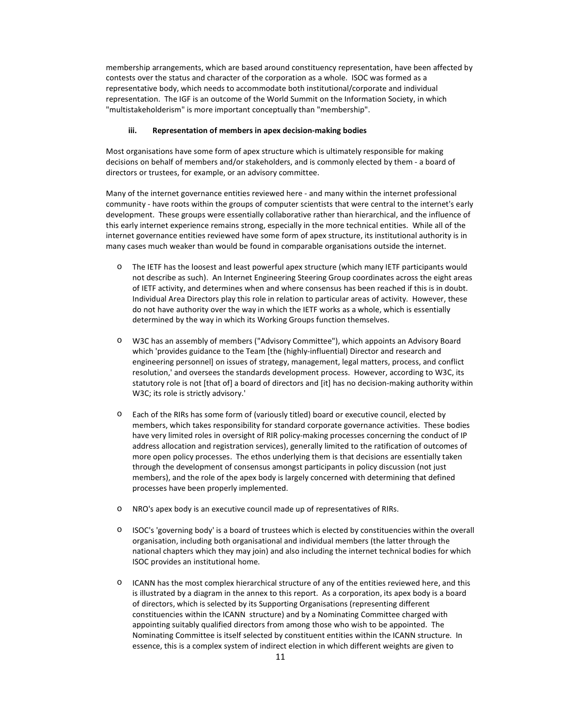membership arrangements, which are based around constituency representation, have been affected by contests over the status and character of the corporation as a whole. ISOC was formed as a representative body, which needs to accommodate both institutional/corporate and individual representation. The IGF is an outcome of the World Summit on the Information Society, in which "multistakeholderism" is more important conceptually than "membership".

# iii. Representation of members in apex decision-making bodies

Most organisations have some form of apex structure which is ultimately responsible for making decisions on behalf of members and/or stakeholders, and is commonly elected by them - a board of directors or trustees, for example, or an advisory committee.

Many of the internet governance entities reviewed here - and many within the internet professional community - have roots within the groups of computer scientists that were central to the internet's early development. These groups were essentially collaborative rather than hierarchical, and the influence of this early internet experience remains strong, especially in the more technical entities. While all of the internet governance entities reviewed have some form of apex structure, its institutional authority is in many cases much weaker than would be found in comparable organisations outside the internet.

- o The IETF has the loosest and least powerful apex structure (which many IETF participants would not describe as such). An Internet Engineering Steering Group coordinates across the eight areas of IETF activity, and determines when and where consensus has been reached if this is in doubt. Individual Area Directors play this role in relation to particular areas of activity. However, these do not have authority over the way in which the IETF works as a whole, which is essentially determined by the way in which its Working Groups function themselves.
- o W3C has an assembly of members ("Advisory Committee"), which appoints an Advisory Board which 'provides guidance to the Team [the (highly-influential) Director and research and engineering personnel] on issues of strategy, management, legal matters, process, and conflict resolution,' and oversees the standards development process. However, according to W3C, its statutory role is not [that of] a board of directors and [it] has no decision-making authority within W3C; its role is strictly advisory.'
- o Each of the RIRs has some form of (variously titled) board or executive council, elected by members, which takes responsibility for standard corporate governance activities. These bodies have very limited roles in oversight of RIR policy-making processes concerning the conduct of IP address allocation and registration services), generally limited to the ratification of outcomes of more open policy processes. The ethos underlying them is that decisions are essentially taken through the development of consensus amongst participants in policy discussion (not just members), and the role of the apex body is largely concerned with determining that defined processes have been properly implemented.
- o NRO's apex body is an executive council made up of representatives of RIRs.
- o ISOC's 'governing body' is a board of trustees which is elected by constituencies within the overall organisation, including both organisational and individual members (the latter through the national chapters which they may join) and also including the internet technical bodies for which ISOC provides an institutional home.
- o ICANN has the most complex hierarchical structure of any of the entities reviewed here, and this is illustrated by a diagram in the annex to this report. As a corporation, its apex body is a board of directors, which is selected by its Supporting Organisations (representing different constituencies within the ICANN structure) and by a Nominating Committee charged with appointing suitably qualified directors from among those who wish to be appointed. The Nominating Committee is itself selected by constituent entities within the ICANN structure. In essence, this is a complex system of indirect election in which different weights are given to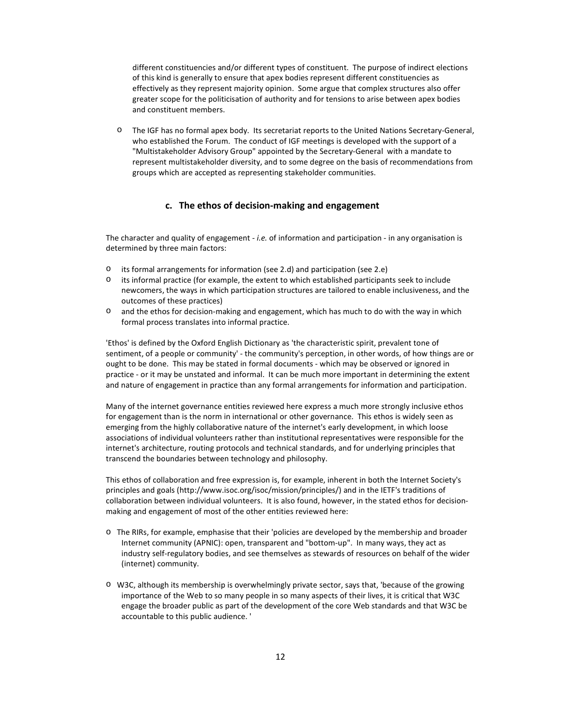different constituencies and/or different types of constituent. The purpose of indirect elections of this kind is generally to ensure that apex bodies represent different constituencies as effectively as they represent majority opinion. Some argue that complex structures also offer greater scope for the politicisation of authority and for tensions to arise between apex bodies and constituent members.

The IGF has no formal apex body. Its secretariat reports to the United Nations Secretary-General, who established the Forum. The conduct of IGF meetings is developed with the support of a "Multistakeholder Advisory Group" appointed by the Secretary-General with a mandate to represent multistakeholder diversity, and to some degree on the basis of recommendations from groups which are accepted as representing stakeholder communities.

# c. The ethos of decision-making and engagement

The character and quality of engagement - i.e. of information and participation - in any organisation is determined by three main factors:

- o its formal arrangements for information (see 2.d) and participation (see 2.e)
- o its informal practice (for example, the extent to which established participants seek to include newcomers, the ways in which participation structures are tailored to enable inclusiveness, and the outcomes of these practices)
- o and the ethos for decision-making and engagement, which has much to do with the way in which formal process translates into informal practice.

'Ethos' is defined by the Oxford English Dictionary as 'the characteristic spirit, prevalent tone of sentiment, of a people or community' - the community's perception, in other words, of how things are or ought to be done. This may be stated in formal documents - which may be observed or ignored in practice - or it may be unstated and informal. It can be much more important in determining the extent and nature of engagement in practice than any formal arrangements for information and participation.

Many of the internet governance entities reviewed here express a much more strongly inclusive ethos for engagement than is the norm in international or other governance. This ethos is widely seen as emerging from the highly collaborative nature of the internet's early development, in which loose associations of individual volunteers rather than institutional representatives were responsible for the internet's architecture, routing protocols and technical standards, and for underlying principles that transcend the boundaries between technology and philosophy.

This ethos of collaboration and free expression is, for example, inherent in both the Internet Society's principles and goals (http://www.isoc.org/isoc/mission/principles/) and in the IETF's traditions of collaboration between individual volunteers. It is also found, however, in the stated ethos for decisionmaking and engagement of most of the other entities reviewed here:

- o The RIRs, for example, emphasise that their 'policies are developed by the membership and broader Internet community (APNIC): open, transparent and "bottom-up". In many ways, they act as industry self-regulatory bodies, and see themselves as stewards of resources on behalf of the wider (internet) community.
- o W3C, although its membership is overwhelmingly private sector, says that, 'because of the growing importance of the Web to so many people in so many aspects of their lives, it is critical that W3C engage the broader public as part of the development of the core Web standards and that W3C be accountable to this public audience. '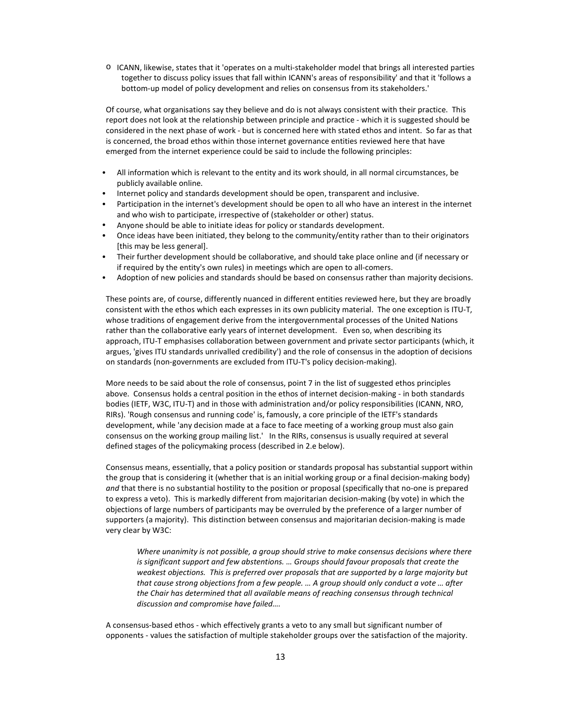o ICANN, likewise, states that it 'operates on a multi-stakeholder model that brings all interested parties together to discuss policy issues that fall within ICANN's areas of responsibility' and that it 'follows a bottom-up model of policy development and relies on consensus from its stakeholders.'

Of course, what organisations say they believe and do is not always consistent with their practice. This report does not look at the relationship between principle and practice - which it is suggested should be considered in the next phase of work - but is concerned here with stated ethos and intent. So far as that is concerned, the broad ethos within those internet governance entities reviewed here that have emerged from the internet experience could be said to include the following principles:

- All information which is relevant to the entity and its work should, in all normal circumstances, be publicly available online.
- Internet policy and standards development should be open, transparent and inclusive.
- Participation in the internet's development should be open to all who have an interest in the internet and who wish to participate, irrespective of (stakeholder or other) status.
- Anyone should be able to initiate ideas for policy or standards development.
- Once ideas have been initiated, they belong to the community/entity rather than to their originators [this may be less general].
- Their further development should be collaborative, and should take place online and (if necessary or if required by the entity's own rules) in meetings which are open to all-comers.
- Adoption of new policies and standards should be based on consensus rather than majority decisions.

These points are, of course, differently nuanced in different entities reviewed here, but they are broadly consistent with the ethos which each expresses in its own publicity material. The one exception is ITU-T, whose traditions of engagement derive from the intergovernmental processes of the United Nations rather than the collaborative early years of internet development. Even so, when describing its approach, ITU-T emphasises collaboration between government and private sector participants (which, it argues, 'gives ITU standards unrivalled credibility') and the role of consensus in the adoption of decisions on standards (non-governments are excluded from ITU-T's policy decision-making).

More needs to be said about the role of consensus, point 7 in the list of suggested ethos principles above. Consensus holds a central position in the ethos of internet decision-making - in both standards bodies (IETF, W3C, ITU-T) and in those with administration and/or policy responsibilities (ICANN, NRO, RIRs). 'Rough consensus and running code' is, famously, a core principle of the IETF's standards development, while 'any decision made at a face to face meeting of a working group must also gain consensus on the working group mailing list.' In the RIRs, consensus is usually required at several defined stages of the policymaking process (described in 2.e below).

Consensus means, essentially, that a policy position or standards proposal has substantial support within the group that is considering it (whether that is an initial working group or a final decision-making body) and that there is no substantial hostility to the position or proposal (specifically that no-one is prepared to express a veto). This is markedly different from majoritarian decision-making (by vote) in which the objections of large numbers of participants may be overruled by the preference of a larger number of supporters (a majority). This distinction between consensus and majoritarian decision-making is made very clear by W3C:

Where unanimity is not possible, a group should strive to make consensus decisions where there is significant support and few abstentions. … Groups should favour proposals that create the weakest objections. This is preferred over proposals that are supported by a large majority but that cause strong objections from a few people. … A group should only conduct a vote … after the Chair has determined that all available means of reaching consensus through technical discussion and compromise have failed….

A consensus-based ethos - which effectively grants a veto to any small but significant number of opponents - values the satisfaction of multiple stakeholder groups over the satisfaction of the majority.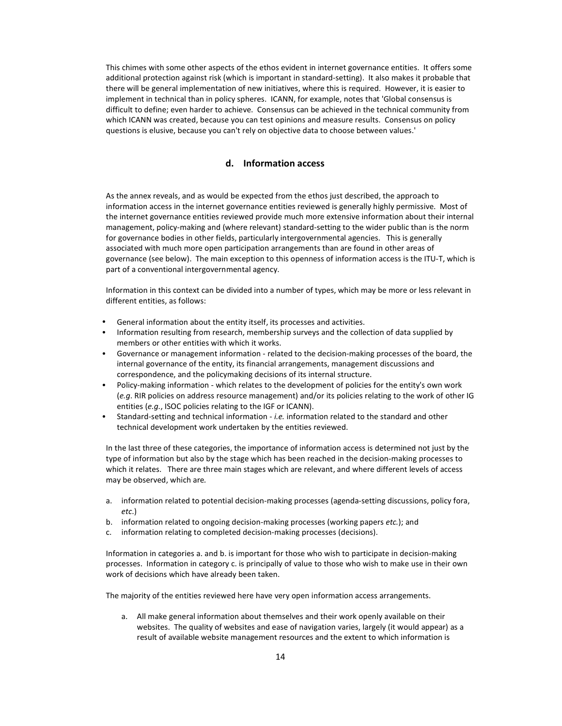This chimes with some other aspects of the ethos evident in internet governance entities. It offers some additional protection against risk (which is important in standard-setting). It also makes it probable that there will be general implementation of new initiatives, where this is required. However, it is easier to implement in technical than in policy spheres. ICANN, for example, notes that 'Global consensus is difficult to define; even harder to achieve. Consensus can be achieved in the technical community from which ICANN was created, because you can test opinions and measure results. Consensus on policy questions is elusive, because you can't rely on objective data to choose between values.'

# d. Information access

As the annex reveals, and as would be expected from the ethos just described, the approach to information access in the internet governance entities reviewed is generally highly permissive. Most of the internet governance entities reviewed provide much more extensive information about their internal management, policy-making and (where relevant) standard-setting to the wider public than is the norm for governance bodies in other fields, particularly intergovernmental agencies. This is generally associated with much more open participation arrangements than are found in other areas of governance (see below). The main exception to this openness of information access is the ITU-T, which is part of a conventional intergovernmental agency.

Information in this context can be divided into a number of types, which may be more or less relevant in different entities, as follows:

- General information about the entity itself, its processes and activities.
- Information resulting from research, membership surveys and the collection of data supplied by members or other entities with which it works.
- Governance or management information related to the decision-making processes of the board, the internal governance of the entity, its financial arrangements, management discussions and correspondence, and the policymaking decisions of its internal structure.
- Policy-making information which relates to the development of policies for the entity's own work (e.g. RIR policies on address resource management) and/or its policies relating to the work of other IG entities (e.g., ISOC policies relating to the IGF or ICANN).
- Standard-setting and technical information i.e. information related to the standard and other technical development work undertaken by the entities reviewed.

In the last three of these categories, the importance of information access is determined not just by the type of information but also by the stage which has been reached in the decision-making processes to which it relates. There are three main stages which are relevant, and where different levels of access may be observed, which are.

- a. information related to potential decision-making processes (agenda-setting discussions, policy fora, etc.)
- b. information related to ongoing decision-making processes (working papers etc.); and
- c. information relating to completed decision-making processes (decisions).

Information in categories a. and b. is important for those who wish to participate in decision-making processes. Information in category c. is principally of value to those who wish to make use in their own work of decisions which have already been taken.

The majority of the entities reviewed here have very open information access arrangements.

a. All make general information about themselves and their work openly available on their websites. The quality of websites and ease of navigation varies, largely (it would appear) as a result of available website management resources and the extent to which information is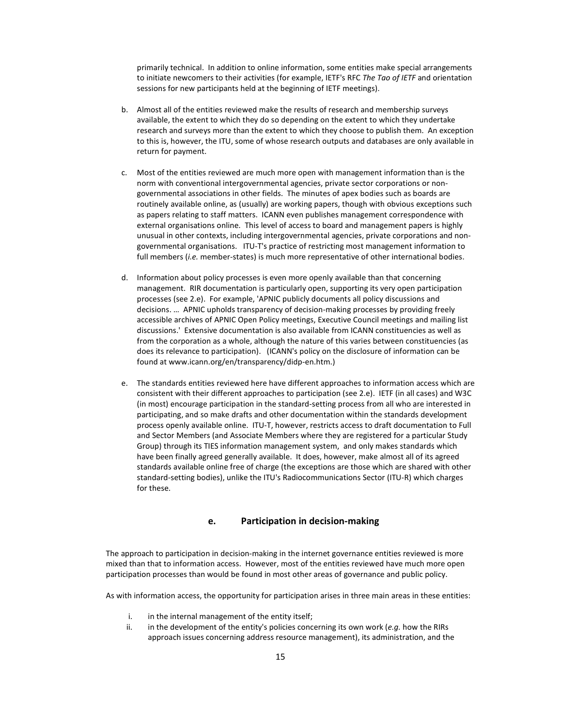primarily technical. In addition to online information, some entities make special arrangements to initiate newcomers to their activities (for example, IETF's RFC The Tao of IETF and orientation sessions for new participants held at the beginning of IETF meetings).

- b. Almost all of the entities reviewed make the results of research and membership surveys available, the extent to which they do so depending on the extent to which they undertake research and surveys more than the extent to which they choose to publish them. An exception to this is, however, the ITU, some of whose research outputs and databases are only available in return for payment.
- c. Most of the entities reviewed are much more open with management information than is the norm with conventional intergovernmental agencies, private sector corporations or nongovernmental associations in other fields. The minutes of apex bodies such as boards are routinely available online, as (usually) are working papers, though with obvious exceptions such as papers relating to staff matters. ICANN even publishes management correspondence with external organisations online. This level of access to board and management papers is highly unusual in other contexts, including intergovernmental agencies, private corporations and nongovernmental organisations. ITU-T's practice of restricting most management information to full members (i.e. member-states) is much more representative of other international bodies.
- d. Information about policy processes is even more openly available than that concerning management. RIR documentation is particularly open, supporting its very open participation processes (see 2.e). For example, 'APNIC publicly documents all policy discussions and decisions. … APNIC upholds transparency of decision-making processes by providing freely accessible archives of APNIC Open Policy meetings, Executive Council meetings and mailing list discussions.' Extensive documentation is also available from ICANN constituencies as well as from the corporation as a whole, although the nature of this varies between constituencies (as does its relevance to participation). (ICANN's policy on the disclosure of information can be found at www.icann.org/en/transparency/didp-en.htm.)
- e. The standards entities reviewed here have different approaches to information access which are consistent with their different approaches to participation (see 2.e). IETF (in all cases) and W3C (in most) encourage participation in the standard-setting process from all who are interested in participating, and so make drafts and other documentation within the standards development process openly available online. ITU-T, however, restricts access to draft documentation to Full and Sector Members (and Associate Members where they are registered for a particular Study Group) through its TIES information management system, and only makes standards which have been finally agreed generally available. It does, however, make almost all of its agreed standards available online free of charge (the exceptions are those which are shared with other standard-setting bodies), unlike the ITU's Radiocommunications Sector (ITU-R) which charges for these.

# e. Participation in decision-making

The approach to participation in decision-making in the internet governance entities reviewed is more mixed than that to information access. However, most of the entities reviewed have much more open participation processes than would be found in most other areas of governance and public policy.

As with information access, the opportunity for participation arises in three main areas in these entities:

- i. in the internal management of the entity itself;
- ii. in the development of the entity's policies concerning its own work (*e.g.* how the RIRs approach issues concerning address resource management), its administration, and the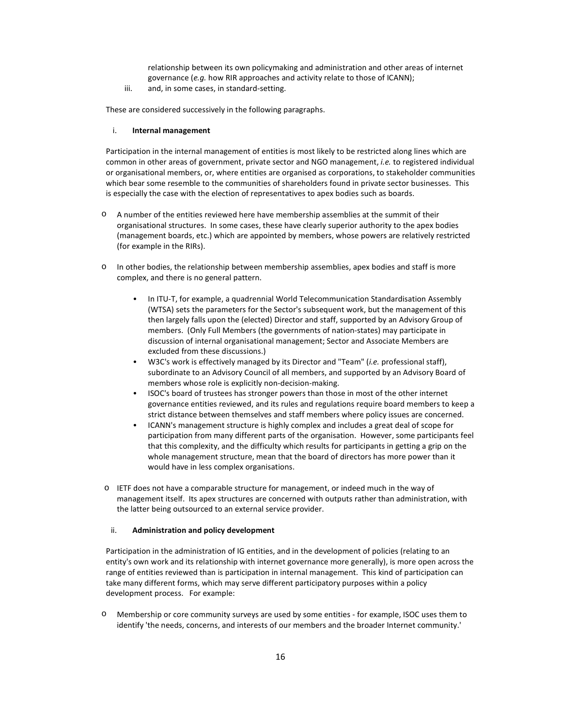relationship between its own policymaking and administration and other areas of internet governance (e.g. how RIR approaches and activity relate to those of ICANN);

iii. and, in some cases, in standard-setting.

These are considered successively in the following paragraphs.

# i. Internal management

Participation in the internal management of entities is most likely to be restricted along lines which are common in other areas of government, private sector and NGO management, *i.e.* to registered individual or organisational members, or, where entities are organised as corporations, to stakeholder communities which bear some resemble to the communities of shareholders found in private sector businesses. This is especially the case with the election of representatives to apex bodies such as boards.

- o A number of the entities reviewed here have membership assemblies at the summit of their organisational structures. In some cases, these have clearly superior authority to the apex bodies (management boards, etc.) which are appointed by members, whose powers are relatively restricted (for example in the RIRs).
- o In other bodies, the relationship between membership assemblies, apex bodies and staff is more complex, and there is no general pattern.
	- In ITU-T, for example, a quadrennial World Telecommunication Standardisation Assembly (WTSA) sets the parameters for the Sector's subsequent work, but the management of this then largely falls upon the (elected) Director and staff, supported by an Advisory Group of members. (Only Full Members (the governments of nation-states) may participate in discussion of internal organisational management; Sector and Associate Members are excluded from these discussions.)
	- W3C's work is effectively managed by its Director and "Team" (i.e. professional staff), subordinate to an Advisory Council of all members, and supported by an Advisory Board of members whose role is explicitly non-decision-making.
	- ISOC's board of trustees has stronger powers than those in most of the other internet governance entities reviewed, and its rules and regulations require board members to keep a strict distance between themselves and staff members where policy issues are concerned.
	- ICANN's management structure is highly complex and includes a great deal of scope for participation from many different parts of the organisation. However, some participants feel that this complexity, and the difficulty which results for participants in getting a grip on the whole management structure, mean that the board of directors has more power than it would have in less complex organisations.
- o IETF does not have a comparable structure for management, or indeed much in the way of management itself. Its apex structures are concerned with outputs rather than administration, with the latter being outsourced to an external service provider.

# ii. Administration and policy development

Participation in the administration of IG entities, and in the development of policies (relating to an entity's own work and its relationship with internet governance more generally), is more open across the range of entities reviewed than is participation in internal management. This kind of participation can take many different forms, which may serve different participatory purposes within a policy development process. For example:

o Membership or core community surveys are used by some entities - for example, ISOC uses them to identify 'the needs, concerns, and interests of our members and the broader Internet community.'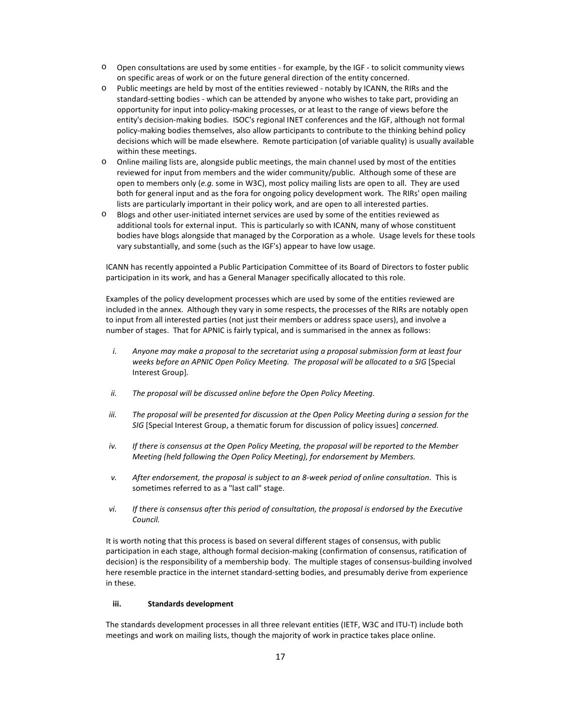- o Open consultations are used by some entities for example, by the IGF to solicit community views on specific areas of work or on the future general direction of the entity concerned.
- o Public meetings are held by most of the entities reviewed notably by ICANN, the RIRs and the standard-setting bodies - which can be attended by anyone who wishes to take part, providing an opportunity for input into policy-making processes, or at least to the range of views before the entity's decision-making bodies. ISOC's regional INET conferences and the IGF, although not formal policy-making bodies themselves, also allow participants to contribute to the thinking behind policy decisions which will be made elsewhere. Remote participation (of variable quality) is usually available within these meetings.
- o Online mailing lists are, alongside public meetings, the main channel used by most of the entities reviewed for input from members and the wider community/public. Although some of these are open to members only (e.g. some in W3C), most policy mailing lists are open to all. They are used both for general input and as the fora for ongoing policy development work. The RIRs' open mailing lists are particularly important in their policy work, and are open to all interested parties.
- o Blogs and other user-initiated internet services are used by some of the entities reviewed as additional tools for external input. This is particularly so with ICANN, many of whose constituent bodies have blogs alongside that managed by the Corporation as a whole. Usage levels for these tools vary substantially, and some (such as the IGF's) appear to have low usage.

ICANN has recently appointed a Public Participation Committee of its Board of Directors to foster public participation in its work, and has a General Manager specifically allocated to this role.

Examples of the policy development processes which are used by some of the entities reviewed are included in the annex. Although they vary in some respects, the processes of the RIRs are notably open to input from all interested parties (not just their members or address space users), and involve a number of stages. That for APNIC is fairly typical, and is summarised in the annex as follows:

- i. Anyone may make a proposal to the secretariat using a proposal submission form at least four weeks before an APNIC Open Policy Meeting. The proposal will be allocated to a SIG [Special Interest Group].
- ii. The proposal will be discussed online before the Open Policy Meeting.
- iii. The proposal will be presented for discussion at the Open Policy Meeting during a session for the SIG [Special Interest Group, a thematic forum for discussion of policy issues] concerned.
- iv. If there is consensus at the Open Policy Meeting, the proposal will be reported to the Member Meeting (held following the Open Policy Meeting), for endorsement by Members.
- v. After endorsement, the proposal is subject to an 8-week period of online consultation. This is sometimes referred to as a "last call" stage.
- vi. If there is consensus after this period of consultation, the proposal is endorsed by the Executive Council.

It is worth noting that this process is based on several different stages of consensus, with public participation in each stage, although formal decision-making (confirmation of consensus, ratification of decision) is the responsibility of a membership body. The multiple stages of consensus-building involved here resemble practice in the internet standard-setting bodies, and presumably derive from experience in these.

# iii. Standards development

The standards development processes in all three relevant entities (IETF, W3C and ITU-T) include both meetings and work on mailing lists, though the majority of work in practice takes place online.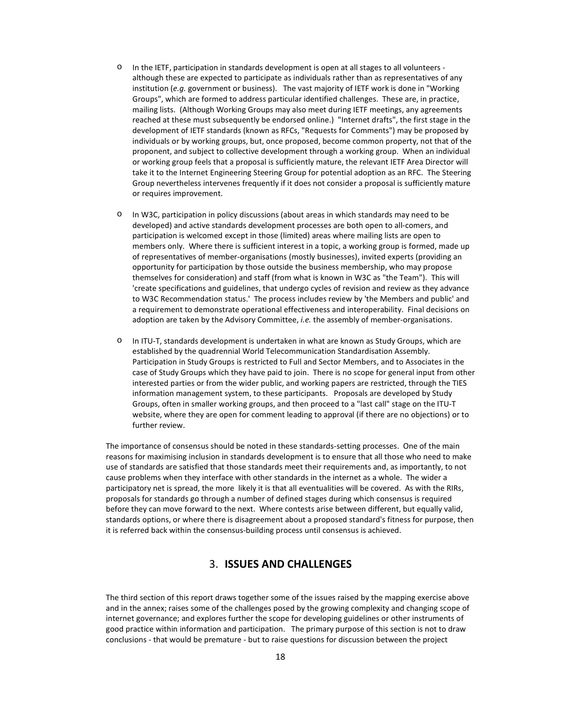- o In the IETF, participation in standards development is open at all stages to all volunteers although these are expected to participate as individuals rather than as representatives of any institution (e.g. government or business). The vast majority of IETF work is done in "Working Groups", which are formed to address particular identified challenges. These are, in practice, mailing lists. (Although Working Groups may also meet during IETF meetings, any agreements reached at these must subsequently be endorsed online.) "Internet drafts", the first stage in the development of IETF standards (known as RFCs, "Requests for Comments") may be proposed by individuals or by working groups, but, once proposed, become common property, not that of the proponent, and subject to collective development through a working group. When an individual or working group feels that a proposal is sufficiently mature, the relevant IETF Area Director will take it to the Internet Engineering Steering Group for potential adoption as an RFC. The Steering Group nevertheless intervenes frequently if it does not consider a proposal is sufficiently mature or requires improvement.
- o In W3C, participation in policy discussions (about areas in which standards may need to be developed) and active standards development processes are both open to all-comers, and participation is welcomed except in those (limited) areas where mailing lists are open to members only. Where there is sufficient interest in a topic, a working group is formed, made up of representatives of member-organisations (mostly businesses), invited experts (providing an opportunity for participation by those outside the business membership, who may propose themselves for consideration) and staff (from what is known in W3C as "the Team"). This will 'create specifications and guidelines, that undergo cycles of revision and review as they advance to W3C Recommendation status.' The process includes review by 'the Members and public' and a requirement to demonstrate operational effectiveness and interoperability. Final decisions on adoption are taken by the Advisory Committee, *i.e.* the assembly of member-organisations.
- o In ITU-T, standards development is undertaken in what are known as Study Groups, which are established by the quadrennial World Telecommunication Standardisation Assembly. Participation in Study Groups is restricted to Full and Sector Members, and to Associates in the case of Study Groups which they have paid to join. There is no scope for general input from other interested parties or from the wider public, and working papers are restricted, through the TIES information management system, to these participants. Proposals are developed by Study Groups, often in smaller working groups, and then proceed to a "last call" stage on the ITU-T website, where they are open for comment leading to approval (if there are no objections) or to further review.

The importance of consensus should be noted in these standards-setting processes. One of the main reasons for maximising inclusion in standards development is to ensure that all those who need to make use of standards are satisfied that those standards meet their requirements and, as importantly, to not cause problems when they interface with other standards in the internet as a whole. The wider a participatory net is spread, the more likely it is that all eventualities will be covered. As with the RIRs, proposals for standards go through a number of defined stages during which consensus is required before they can move forward to the next. Where contests arise between different, but equally valid, standards options, or where there is disagreement about a proposed standard's fitness for purpose, then it is referred back within the consensus-building process until consensus is achieved.

# 3. ISSUES AND CHALLENGES

The third section of this report draws together some of the issues raised by the mapping exercise above and in the annex; raises some of the challenges posed by the growing complexity and changing scope of internet governance; and explores further the scope for developing guidelines or other instruments of good practice within information and participation. The primary purpose of this section is not to draw conclusions - that would be premature - but to raise questions for discussion between the project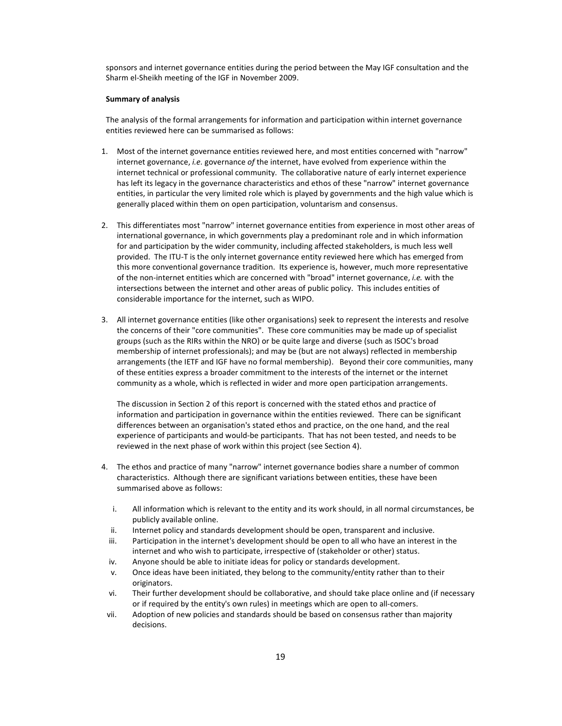sponsors and internet governance entities during the period between the May IGF consultation and the Sharm el-Sheikh meeting of the IGF in November 2009.

### Summary of analysis

The analysis of the formal arrangements for information and participation within internet governance entities reviewed here can be summarised as follows:

- 1. Most of the internet governance entities reviewed here, and most entities concerned with "narrow" internet governance, i.e. governance of the internet, have evolved from experience within the internet technical or professional community. The collaborative nature of early internet experience has left its legacy in the governance characteristics and ethos of these "narrow" internet governance entities, in particular the very limited role which is played by governments and the high value which is generally placed within them on open participation, voluntarism and consensus.
- 2. This differentiates most "narrow" internet governance entities from experience in most other areas of international governance, in which governments play a predominant role and in which information for and participation by the wider community, including affected stakeholders, is much less well provided. The ITU-T is the only internet governance entity reviewed here which has emerged from this more conventional governance tradition. Its experience is, however, much more representative of the non-internet entities which are concerned with "broad" internet governance, i.e. with the intersections between the internet and other areas of public policy. This includes entities of considerable importance for the internet, such as WIPO.
- 3. All internet governance entities (like other organisations) seek to represent the interests and resolve the concerns of their "core communities". These core communities may be made up of specialist groups (such as the RIRs within the NRO) or be quite large and diverse (such as ISOC's broad membership of internet professionals); and may be (but are not always) reflected in membership arrangements (the IETF and IGF have no formal membership). Beyond their core communities, many of these entities express a broader commitment to the interests of the internet or the internet community as a whole, which is reflected in wider and more open participation arrangements.

The discussion in Section 2 of this report is concerned with the stated ethos and practice of information and participation in governance within the entities reviewed. There can be significant differences between an organisation's stated ethos and practice, on the one hand, and the real experience of participants and would-be participants. That has not been tested, and needs to be reviewed in the next phase of work within this project (see Section 4).

- 4. The ethos and practice of many "narrow" internet governance bodies share a number of common characteristics. Although there are significant variations between entities, these have been summarised above as follows:
	- i. All information which is relevant to the entity and its work should, in all normal circumstances, be publicly available online.
	- ii. Internet policy and standards development should be open, transparent and inclusive.
	- iii. Participation in the internet's development should be open to all who have an interest in the internet and who wish to participate, irrespective of (stakeholder or other) status.
	- iv. Anyone should be able to initiate ideas for policy or standards development.
	- v. Once ideas have been initiated, they belong to the community/entity rather than to their originators.
	- vi. Their further development should be collaborative, and should take place online and (if necessary or if required by the entity's own rules) in meetings which are open to all-comers.
- vii. Adoption of new policies and standards should be based on consensus rather than majority decisions.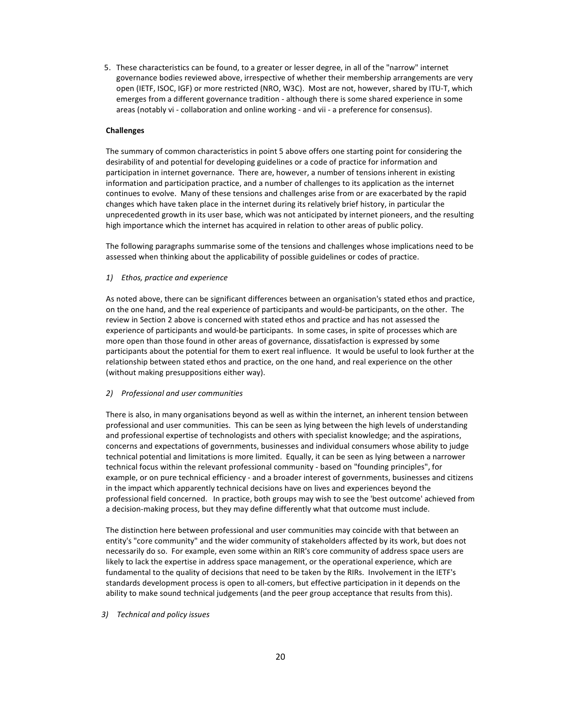5. These characteristics can be found, to a greater or lesser degree, in all of the "narrow" internet governance bodies reviewed above, irrespective of whether their membership arrangements are very open (IETF, ISOC, IGF) or more restricted (NRO, W3C). Most are not, however, shared by ITU-T, which emerges from a different governance tradition - although there is some shared experience in some areas (notably vi - collaboration and online working - and vii - a preference for consensus).

# Challenges

The summary of common characteristics in point 5 above offers one starting point for considering the desirability of and potential for developing guidelines or a code of practice for information and participation in internet governance. There are, however, a number of tensions inherent in existing information and participation practice, and a number of challenges to its application as the internet continues to evolve. Many of these tensions and challenges arise from or are exacerbated by the rapid changes which have taken place in the internet during its relatively brief history, in particular the unprecedented growth in its user base, which was not anticipated by internet pioneers, and the resulting high importance which the internet has acquired in relation to other areas of public policy.

The following paragraphs summarise some of the tensions and challenges whose implications need to be assessed when thinking about the applicability of possible guidelines or codes of practice.

# 1) Ethos, practice and experience

As noted above, there can be significant differences between an organisation's stated ethos and practice, on the one hand, and the real experience of participants and would-be participants, on the other. The review in Section 2 above is concerned with stated ethos and practice and has not assessed the experience of participants and would-be participants. In some cases, in spite of processes which are more open than those found in other areas of governance, dissatisfaction is expressed by some participants about the potential for them to exert real influence. It would be useful to look further at the relationship between stated ethos and practice, on the one hand, and real experience on the other (without making presuppositions either way).

### 2) Professional and user communities

There is also, in many organisations beyond as well as within the internet, an inherent tension between professional and user communities. This can be seen as lying between the high levels of understanding and professional expertise of technologists and others with specialist knowledge; and the aspirations, concerns and expectations of governments, businesses and individual consumers whose ability to judge technical potential and limitations is more limited. Equally, it can be seen as lying between a narrower technical focus within the relevant professional community - based on "founding principles", for example, or on pure technical efficiency - and a broader interest of governments, businesses and citizens in the impact which apparently technical decisions have on lives and experiences beyond the professional field concerned. In practice, both groups may wish to see the 'best outcome' achieved from a decision-making process, but they may define differently what that outcome must include.

The distinction here between professional and user communities may coincide with that between an entity's "core community" and the wider community of stakeholders affected by its work, but does not necessarily do so. For example, even some within an RIR's core community of address space users are likely to lack the expertise in address space management, or the operational experience, which are fundamental to the quality of decisions that need to be taken by the RIRs. Involvement in the IETF's standards development process is open to all-comers, but effective participation in it depends on the ability to make sound technical judgements (and the peer group acceptance that results from this).

# 3) Technical and policy issues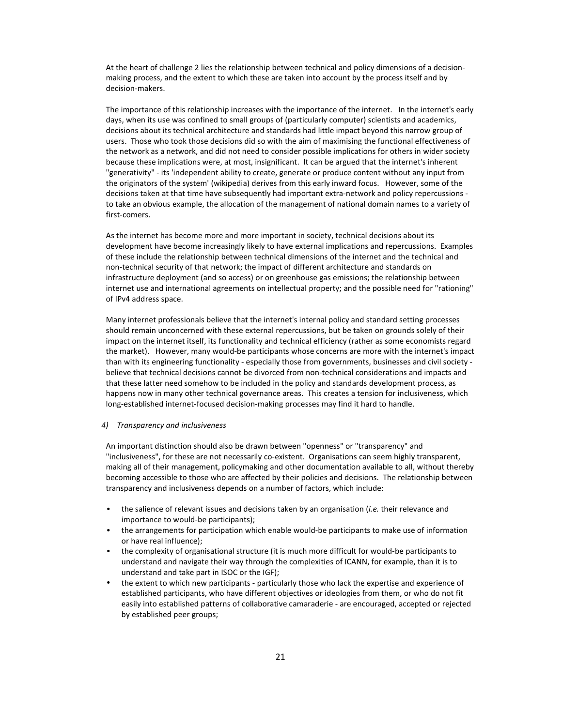At the heart of challenge 2 lies the relationship between technical and policy dimensions of a decisionmaking process, and the extent to which these are taken into account by the process itself and by decision-makers.

The importance of this relationship increases with the importance of the internet. In the internet's early days, when its use was confined to small groups of (particularly computer) scientists and academics, decisions about its technical architecture and standards had little impact beyond this narrow group of users. Those who took those decisions did so with the aim of maximising the functional effectiveness of the network as a network, and did not need to consider possible implications for others in wider society because these implications were, at most, insignificant. It can be argued that the internet's inherent "generativity" - its 'independent ability to create, generate or produce content without any input from the originators of the system' (wikipedia) derives from this early inward focus. However, some of the decisions taken at that time have subsequently had important extra-network and policy repercussions to take an obvious example, the allocation of the management of national domain names to a variety of first-comers.

As the internet has become more and more important in society, technical decisions about its development have become increasingly likely to have external implications and repercussions. Examples of these include the relationship between technical dimensions of the internet and the technical and non-technical security of that network; the impact of different architecture and standards on infrastructure deployment (and so access) or on greenhouse gas emissions; the relationship between internet use and international agreements on intellectual property; and the possible need for "rationing" of IPv4 address space.

Many internet professionals believe that the internet's internal policy and standard setting processes should remain unconcerned with these external repercussions, but be taken on grounds solely of their impact on the internet itself, its functionality and technical efficiency (rather as some economists regard the market). However, many would-be participants whose concerns are more with the internet's impact than with its engineering functionality - especially those from governments, businesses and civil society believe that technical decisions cannot be divorced from non-technical considerations and impacts and that these latter need somehow to be included in the policy and standards development process, as happens now in many other technical governance areas. This creates a tension for inclusiveness, which long-established internet-focused decision-making processes may find it hard to handle.

### 4) Transparency and inclusiveness

An important distinction should also be drawn between "openness" or "transparency" and "inclusiveness", for these are not necessarily co-existent. Organisations can seem highly transparent, making all of their management, policymaking and other documentation available to all, without thereby becoming accessible to those who are affected by their policies and decisions. The relationship between transparency and inclusiveness depends on a number of factors, which include:

- the salience of relevant issues and decisions taken by an organisation (i.e. their relevance and importance to would-be participants);
- the arrangements for participation which enable would-be participants to make use of information or have real influence);
- the complexity of organisational structure (it is much more difficult for would-be participants to understand and navigate their way through the complexities of ICANN, for example, than it is to understand and take part in ISOC or the IGF);
- the extent to which new participants particularly those who lack the expertise and experience of established participants, who have different objectives or ideologies from them, or who do not fit easily into established patterns of collaborative camaraderie - are encouraged, accepted or rejected by established peer groups;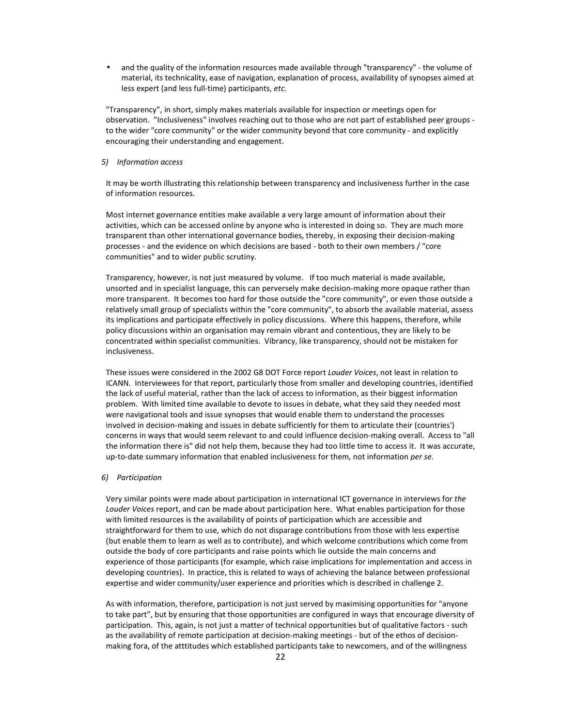and the quality of the information resources made available through "transparency" - the volume of material, its technicality, ease of navigation, explanation of process, availability of synopses aimed at less expert (and less full-time) participants, etc.

"Transparency", in short, simply makes materials available for inspection or meetings open for observation. "Inclusiveness" involves reaching out to those who are not part of established peer groups to the wider "core community" or the wider community beyond that core community - and explicitly encouraging their understanding and engagement.

# 5) Information access

It may be worth illustrating this relationship between transparency and inclusiveness further in the case of information resources.

Most internet governance entities make available a very large amount of information about their activities, which can be accessed online by anyone who is interested in doing so. They are much more transparent than other international governance bodies, thereby, in exposing their decision-making processes - and the evidence on which decisions are based - both to their own members / "core communities" and to wider public scrutiny.

Transparency, however, is not just measured by volume. If too much material is made available, unsorted and in specialist language, this can perversely make decision-making more opaque rather than more transparent. It becomes too hard for those outside the "core community", or even those outside a relatively small group of specialists within the "core community", to absorb the available material, assess its implications and participate effectively in policy discussions. Where this happens, therefore, while policy discussions within an organisation may remain vibrant and contentious, they are likely to be concentrated within specialist communities. Vibrancy, like transparency, should not be mistaken for inclusiveness.

These issues were considered in the 2002 G8 DOT Force report Louder Voices, not least in relation to ICANN. Interviewees for that report, particularly those from smaller and developing countries, identified the lack of useful material, rather than the lack of access to information, as their biggest information problem. With limited time available to devote to issues in debate, what they said they needed most were navigational tools and issue synopses that would enable them to understand the processes involved in decision-making and issues in debate sufficiently for them to articulate their (countries') concerns in ways that would seem relevant to and could influence decision-making overall. Access to "all the information there is" did not help them, because they had too little time to access it. It was accurate, up-to-date summary information that enabled inclusiveness for them, not information per se.

### 6) Participation

Very similar points were made about participation in international ICT governance in interviews for the Louder Voices report, and can be made about participation here. What enables participation for those with limited resources is the availability of points of participation which are accessible and straightforward for them to use, which do not disparage contributions from those with less expertise (but enable them to learn as well as to contribute), and which welcome contributions which come from outside the body of core participants and raise points which lie outside the main concerns and experience of those participants (for example, which raise implications for implementation and access in developing countries). In practice, this is related to ways of achieving the balance between professional expertise and wider community/user experience and priorities which is described in challenge 2.

As with information, therefore, participation is not just served by maximising opportunities for "anyone to take part", but by ensuring that those opportunities are configured in ways that encourage diversity of participation. This, again, is not just a matter of technical opportunities but of qualitative factors - such as the availability of remote participation at decision-making meetings - but of the ethos of decisionmaking fora, of the atttitudes which established participants take to newcomers, and of the willingness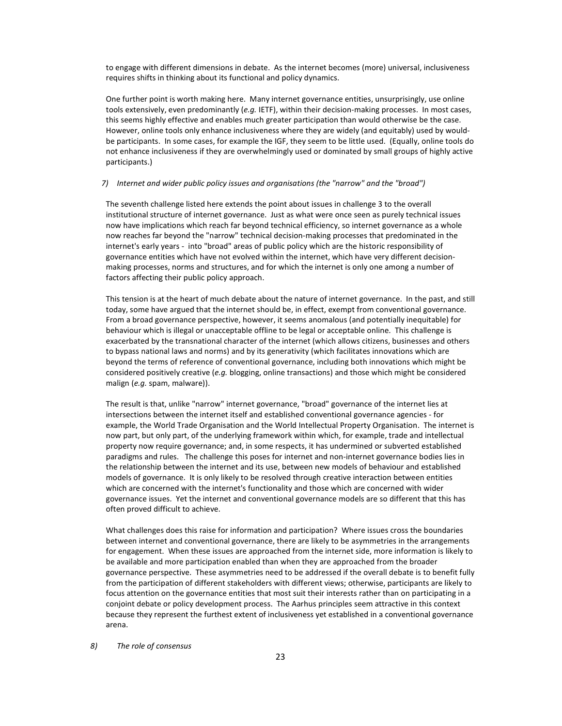to engage with different dimensions in debate. As the internet becomes (more) universal, inclusiveness requires shifts in thinking about its functional and policy dynamics.

One further point is worth making here. Many internet governance entities, unsurprisingly, use online tools extensively, even predominantly (e.g. IETF), within their decision-making processes. In most cases, this seems highly effective and enables much greater participation than would otherwise be the case. However, online tools only enhance inclusiveness where they are widely (and equitably) used by wouldbe participants. In some cases, for example the IGF, they seem to be little used. (Equally, online tools do not enhance inclusiveness if they are overwhelmingly used or dominated by small groups of highly active participants.)

## 7) Internet and wider public policy issues and organisations (the "narrow" and the "broad")

The seventh challenge listed here extends the point about issues in challenge 3 to the overall institutional structure of internet governance. Just as what were once seen as purely technical issues now have implications which reach far beyond technical efficiency, so internet governance as a whole now reaches far beyond the "narrow" technical decision-making processes that predominated in the internet's early years - into "broad" areas of public policy which are the historic responsibility of governance entities which have not evolved within the internet, which have very different decisionmaking processes, norms and structures, and for which the internet is only one among a number of factors affecting their public policy approach.

This tension is at the heart of much debate about the nature of internet governance. In the past, and still today, some have argued that the internet should be, in effect, exempt from conventional governance. From a broad governance perspective, however, it seems anomalous (and potentially inequitable) for behaviour which is illegal or unacceptable offline to be legal or acceptable online. This challenge is exacerbated by the transnational character of the internet (which allows citizens, businesses and others to bypass national laws and norms) and by its generativity (which facilitates innovations which are beyond the terms of reference of conventional governance, including both innovations which might be considered positively creative (e.g. blogging, online transactions) and those which might be considered malign (e.g. spam, malware)).

The result is that, unlike "narrow" internet governance, "broad" governance of the internet lies at intersections between the internet itself and established conventional governance agencies - for example, the World Trade Organisation and the World Intellectual Property Organisation. The internet is now part, but only part, of the underlying framework within which, for example, trade and intellectual property now require governance; and, in some respects, it has undermined or subverted established paradigms and rules. The challenge this poses for internet and non-internet governance bodies lies in the relationship between the internet and its use, between new models of behaviour and established models of governance. It is only likely to be resolved through creative interaction between entities which are concerned with the internet's functionality and those which are concerned with wider governance issues. Yet the internet and conventional governance models are so different that this has often proved difficult to achieve.

What challenges does this raise for information and participation? Where issues cross the boundaries between internet and conventional governance, there are likely to be asymmetries in the arrangements for engagement. When these issues are approached from the internet side, more information is likely to be available and more participation enabled than when they are approached from the broader governance perspective. These asymmetries need to be addressed if the overall debate is to benefit fully from the participation of different stakeholders with different views; otherwise, participants are likely to focus attention on the governance entities that most suit their interests rather than on participating in a conjoint debate or policy development process. The Aarhus principles seem attractive in this context because they represent the furthest extent of inclusiveness yet established in a conventional governance arena.

8) The role of consensus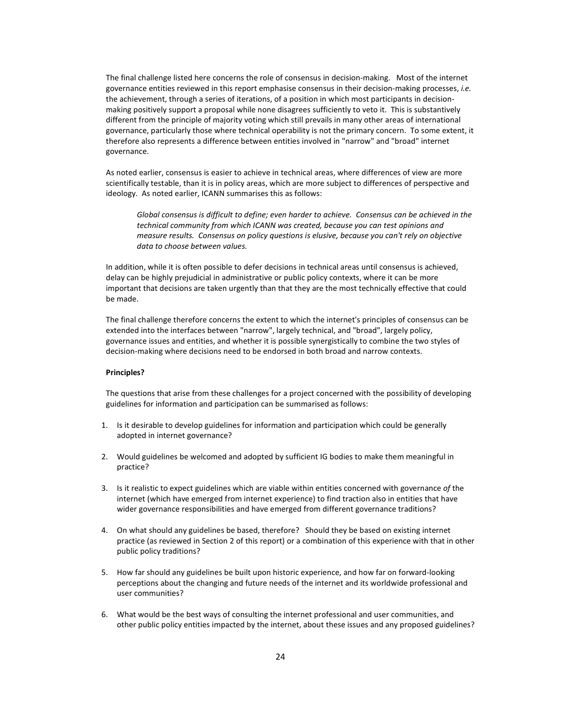The final challenge listed here concerns the role of consensus in decision-making. Most of the internet governance entities reviewed in this report emphasise consensus in their decision-making processes, i.e. the achievement, through a series of iterations, of a position in which most participants in decisionmaking positively support a proposal while none disagrees sufficiently to veto it. This is substantively different from the principle of majority voting which still prevails in many other areas of international governance, particularly those where technical operability is not the primary concern. To some extent, it therefore also represents a difference between entities involved in "narrow" and "broad" internet governance.

As noted earlier, consensus is easier to achieve in technical areas, where differences of view are more scientifically testable, than it is in policy areas, which are more subject to differences of perspective and ideology. As noted earlier, ICANN summarises this as follows:

Global consensus is difficult to define; even harder to achieve. Consensus can be achieved in the technical community from which ICANN was created, because you can test opinions and measure results. Consensus on policy questions is elusive, because you can't rely on objective data to choose between values.

In addition, while it is often possible to defer decisions in technical areas until consensus is achieved, delay can be highly prejudicial in administrative or public policy contexts, where it can be more important that decisions are taken urgently than that they are the most technically effective that could be made.

The final challenge therefore concerns the extent to which the internet's principles of consensus can be extended into the interfaces between "narrow", largely technical, and "broad", largely policy, governance issues and entities, and whether it is possible synergistically to combine the two styles of decision-making where decisions need to be endorsed in both broad and narrow contexts.

# Principles?

The questions that arise from these challenges for a project concerned with the possibility of developing guidelines for information and participation can be summarised as follows:

- 1. Is it desirable to develop guidelines for information and participation which could be generally adopted in internet governance?
- 2. Would guidelines be welcomed and adopted by sufficient IG bodies to make them meaningful in practice?
- 3. Is it realistic to expect guidelines which are viable within entities concerned with governance of the internet (which have emerged from internet experience) to find traction also in entities that have wider governance responsibilities and have emerged from different governance traditions?
- 4. On what should any guidelines be based, therefore? Should they be based on existing internet practice (as reviewed in Section 2 of this report) or a combination of this experience with that in other public policy traditions?
- 5. How far should any guidelines be built upon historic experience, and how far on forward-looking perceptions about the changing and future needs of the internet and its worldwide professional and user communities?
- 6. What would be the best ways of consulting the internet professional and user communities, and other public policy entities impacted by the internet, about these issues and any proposed guidelines?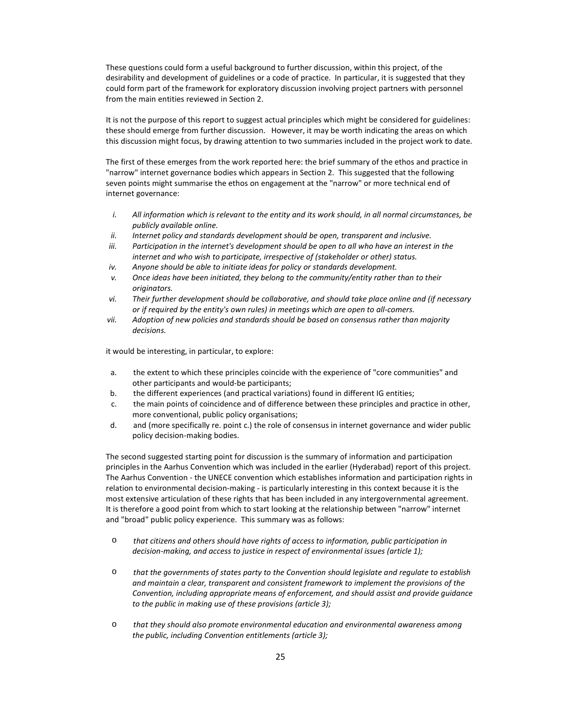These questions could form a useful background to further discussion, within this project, of the desirability and development of guidelines or a code of practice. In particular, it is suggested that they could form part of the framework for exploratory discussion involving project partners with personnel from the main entities reviewed in Section 2.

It is not the purpose of this report to suggest actual principles which might be considered for guidelines: these should emerge from further discussion. However, it may be worth indicating the areas on which this discussion might focus, by drawing attention to two summaries included in the project work to date.

The first of these emerges from the work reported here: the brief summary of the ethos and practice in "narrow" internet governance bodies which appears in Section 2. This suggested that the following seven points might summarise the ethos on engagement at the "narrow" or more technical end of internet governance:

- i. All information which is relevant to the entity and its work should, in all normal circumstances, be publicly available online.
- ii. Internet policy and standards development should be open, transparent and inclusive.
- iii. Participation in the internet's development should be open to all who have an interest in the internet and who wish to participate, irrespective of (stakeholder or other) status.
- iv. Anyone should be able to initiate ideas for policy or standards development.
- v. Once ideas have been initiated, they belong to the community/entity rather than to their originators.
- vi. Their further development should be collaborative, and should take place online and (if necessary or if required by the entity's own rules) in meetings which are open to all-comers.
- vii. Adoption of new policies and standards should be based on consensus rather than majority decisions.

it would be interesting, in particular, to explore:

- a. the extent to which these principles coincide with the experience of "core communities" and other participants and would-be participants;
- b. the different experiences (and practical variations) found in different IG entities;
- c. the main points of coincidence and of difference between these principles and practice in other, more conventional, public policy organisations;
- d. and (more specifically re. point c.) the role of consensus in internet governance and wider public policy decision-making bodies.

The second suggested starting point for discussion is the summary of information and participation principles in the Aarhus Convention which was included in the earlier (Hyderabad) report of this project. The Aarhus Convention - the UNECE convention which establishes information and participation rights in relation to environmental decision-making - is particularly interesting in this context because it is the most extensive articulation of these rights that has been included in any intergovernmental agreement. It is therefore a good point from which to start looking at the relationship between "narrow" internet and "broad" public policy experience. This summary was as follows:

- o that citizens and others should have rights of access to information, public participation in decision-making, and access to justice in respect of environmental issues (article 1);
- o that the governments of states party to the Convention should legislate and regulate to establish and maintain a clear, transparent and consistent framework to implement the provisions of the Convention, including appropriate means of enforcement, and should assist and provide guidance to the public in making use of these provisions (article 3);
- o that they should also promote environmental education and environmental awareness among the public, including Convention entitlements (article 3);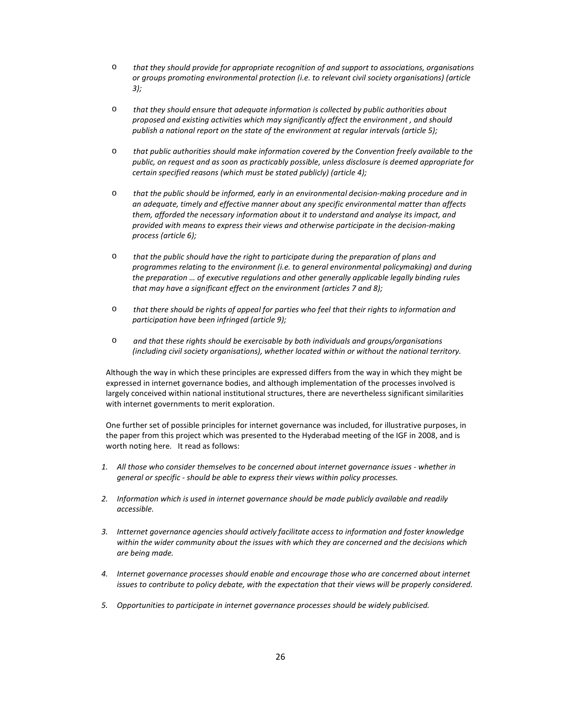- o that they should provide for appropriate recognition of and support to associations, organisations or groups promoting environmental protection (i.e. to relevant civil society organisations) (article 3);
- $\circ$  that they should ensure that adequate information is collected by public authorities about proposed and existing activities which may significantly affect the environment , and should publish a national report on the state of the environment at regular intervals (article 5);
- o that public authorities should make information covered by the Convention freely available to the public, on request and as soon as practicably possible, unless disclosure is deemed appropriate for certain specified reasons (which must be stated publicly) (article 4);
- o that the public should be informed, early in an environmental decision-making procedure and in an adequate, timely and effective manner about any specific environmental matter than affects them, afforded the necessary information about it to understand and analyse its impact, and provided with means to express their views and otherwise participate in the decision-making process (article 6);
- o that the public should have the right to participate during the preparation of plans and programmes relating to the environment (i.e. to general environmental policymaking) and during the preparation … of executive regulations and other generally applicable legally binding rules that may have a significant effect on the environment (articles 7 and 8);
- o that there should be rights of appeal for parties who feel that their rights to information and participation have been infringed (article 9);
- o and that these rights should be exercisable by both individuals and groups/organisations (including civil society organisations), whether located within or without the national territory.

Although the way in which these principles are expressed differs from the way in which they might be expressed in internet governance bodies, and although implementation of the processes involved is largely conceived within national institutional structures, there are nevertheless significant similarities with internet governments to merit exploration.

One further set of possible principles for internet governance was included, for illustrative purposes, in the paper from this project which was presented to the Hyderabad meeting of the IGF in 2008, and is worth noting here. It read as follows:

- 1. All those who consider themselves to be concerned about internet governance issues whether in general or specific - should be able to express their views within policy processes.
- 2. Information which is used in internet governance should be made publicly available and readily accessible.
- 3. Intternet governance agencies should actively facilitate access to information and foster knowledge within the wider community about the issues with which they are concerned and the decisions which are being made.
- 4. Internet governance processes should enable and encourage those who are concerned about internet issues to contribute to policy debate, with the expectation that their views will be properly considered.
- 5. Opportunities to participate in internet governance processes should be widely publicised.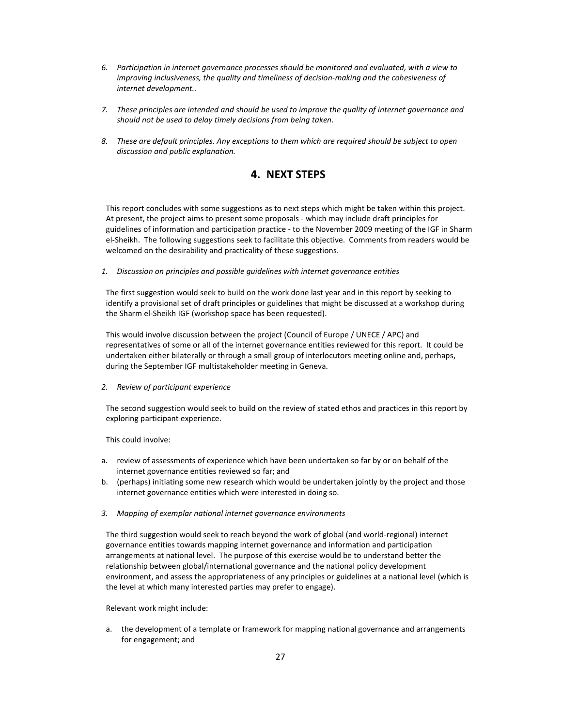- 6. Participation in internet governance processes should be monitored and evaluated, with a view to improving inclusiveness, the quality and timeliness of decision-making and the cohesiveness of internet development..
- 7. These principles are intended and should be used to improve the quality of internet governance and should not be used to delay timely decisions from being taken.
- 8. These are default principles. Any exceptions to them which are required should be subject to open discussion and public explanation.

# 4. NEXT STEPS

This report concludes with some suggestions as to next steps which might be taken within this project. At present, the project aims to present some proposals - which may include draft principles for guidelines of information and participation practice - to the November 2009 meeting of the IGF in Sharm el-Sheikh. The following suggestions seek to facilitate this objective. Comments from readers would be welcomed on the desirability and practicality of these suggestions.

1. Discussion on principles and possible guidelines with internet governance entities

The first suggestion would seek to build on the work done last year and in this report by seeking to identify a provisional set of draft principles or guidelines that might be discussed at a workshop during the Sharm el-Sheikh IGF (workshop space has been requested).

This would involve discussion between the project (Council of Europe / UNECE / APC) and representatives of some or all of the internet governance entities reviewed for this report. It could be undertaken either bilaterally or through a small group of interlocutors meeting online and, perhaps, during the September IGF multistakeholder meeting in Geneva.

2. Review of participant experience

The second suggestion would seek to build on the review of stated ethos and practices in this report by exploring participant experience.

This could involve:

- a. review of assessments of experience which have been undertaken so far by or on behalf of the internet governance entities reviewed so far; and
- b. (perhaps) initiating some new research which would be undertaken jointly by the project and those internet governance entities which were interested in doing so.
- 3. Mapping of exemplar national internet governance environments

The third suggestion would seek to reach beyond the work of global (and world-regional) internet governance entities towards mapping internet governance and information and participation arrangements at national level. The purpose of this exercise would be to understand better the relationship between global/international governance and the national policy development environment, and assess the appropriateness of any principles or guidelines at a national level (which is the level at which many interested parties may prefer to engage).

Relevant work might include:

a. the development of a template or framework for mapping national governance and arrangements for engagement; and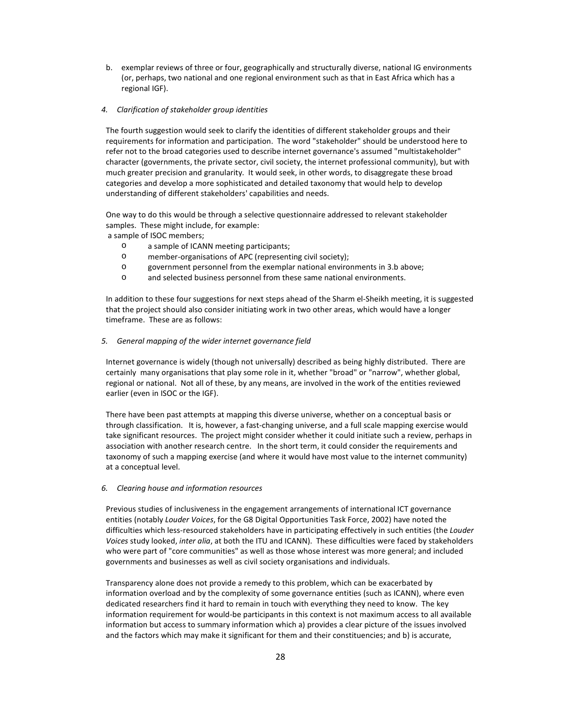b. exemplar reviews of three or four, geographically and structurally diverse, national IG environments (or, perhaps, two national and one regional environment such as that in East Africa which has a regional IGF).

# 4. Clarification of stakeholder group identities

The fourth suggestion would seek to clarify the identities of different stakeholder groups and their requirements for information and participation. The word "stakeholder" should be understood here to refer not to the broad categories used to describe internet governance's assumed "multistakeholder" character (governments, the private sector, civil society, the internet professional community), but with much greater precision and granularity. It would seek, in other words, to disaggregate these broad categories and develop a more sophisticated and detailed taxonomy that would help to develop understanding of different stakeholders' capabilities and needs.

One way to do this would be through a selective questionnaire addressed to relevant stakeholder samples. These might include, for example:

a sample of ISOC members;

- o a sample of ICANN meeting participants;
- o member-organisations of APC (representing civil society);
- o government personnel from the exemplar national environments in 3.b above;
- o and selected business personnel from these same national environments.

In addition to these four suggestions for next steps ahead of the Sharm el-Sheikh meeting, it is suggested that the project should also consider initiating work in two other areas, which would have a longer timeframe. These are as follows:

### 5. General mapping of the wider internet governance field

Internet governance is widely (though not universally) described as being highly distributed. There are certainly many organisations that play some role in it, whether "broad" or "narrow", whether global, regional or national. Not all of these, by any means, are involved in the work of the entities reviewed earlier (even in ISOC or the IGF).

There have been past attempts at mapping this diverse universe, whether on a conceptual basis or through classification. It is, however, a fast-changing universe, and a full scale mapping exercise would take significant resources. The project might consider whether it could initiate such a review, perhaps in association with another research centre. In the short term, it could consider the requirements and taxonomy of such a mapping exercise (and where it would have most value to the internet community) at a conceptual level.

## 6. Clearing house and information resources

Previous studies of inclusiveness in the engagement arrangements of international ICT governance entities (notably Louder Voices, for the G8 Digital Opportunities Task Force, 2002) have noted the difficulties which less-resourced stakeholders have in participating effectively in such entities (the Louder Voices study looked, inter alia, at both the ITU and ICANN). These difficulties were faced by stakeholders who were part of "core communities" as well as those whose interest was more general; and included governments and businesses as well as civil society organisations and individuals.

Transparency alone does not provide a remedy to this problem, which can be exacerbated by information overload and by the complexity of some governance entities (such as ICANN), where even dedicated researchers find it hard to remain in touch with everything they need to know. The key information requirement for would-be participants in this context is not maximum access to all available information but access to summary information which a) provides a clear picture of the issues involved and the factors which may make it significant for them and their constituencies; and b) is accurate,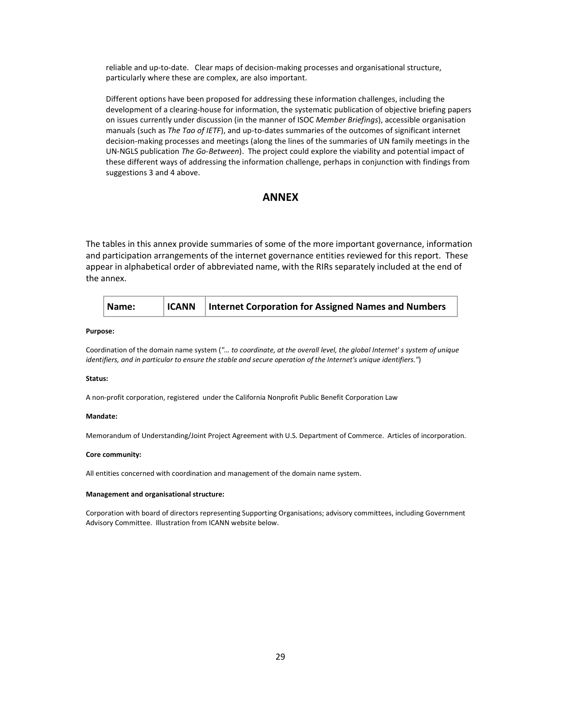reliable and up-to-date. Clear maps of decision-making processes and organisational structure, particularly where these are complex, are also important.

Different options have been proposed for addressing these information challenges, including the development of a clearing-house for information, the systematic publication of objective briefing papers on issues currently under discussion (in the manner of ISOC Member Briefings), accessible organisation manuals (such as The Tao of IETF), and up-to-dates summaries of the outcomes of significant internet decision-making processes and meetings (along the lines of the summaries of UN family meetings in the UN-NGLS publication The Go-Between). The project could explore the viability and potential impact of these different ways of addressing the information challenge, perhaps in conjunction with findings from suggestions 3 and 4 above.

# ANNEX

The tables in this annex provide summaries of some of the more important governance, information and participation arrangements of the internet governance entities reviewed for this report. These appear in alphabetical order of abbreviated name, with the RIRs separately included at the end of the annex.

|  | <b>ICANN</b><br>  Name: | Internet Corporation for Assigned Names and Numbers |  |
|--|-------------------------|-----------------------------------------------------|--|
|--|-------------------------|-----------------------------------------------------|--|

# Purpose:

Coordination of the domain name system ("… to coordinate, at the overall level, the global Internet' s system of unique identifiers, and in particular to ensure the stable and secure operation of the Internet's unique identifiers.")

#### Status:

A non-profit corporation, registered under the California Nonprofit Public Benefit Corporation Law

### Mandate:

Memorandum of Understanding/Joint Project Agreement with U.S. Department of Commerce. Articles of incorporation.

## Core community:

All entities concerned with coordination and management of the domain name system.

#### Management and organisational structure:

Corporation with board of directors representing Supporting Organisations; advisory committees, including Government Advisory Committee. Illustration from ICANN website below.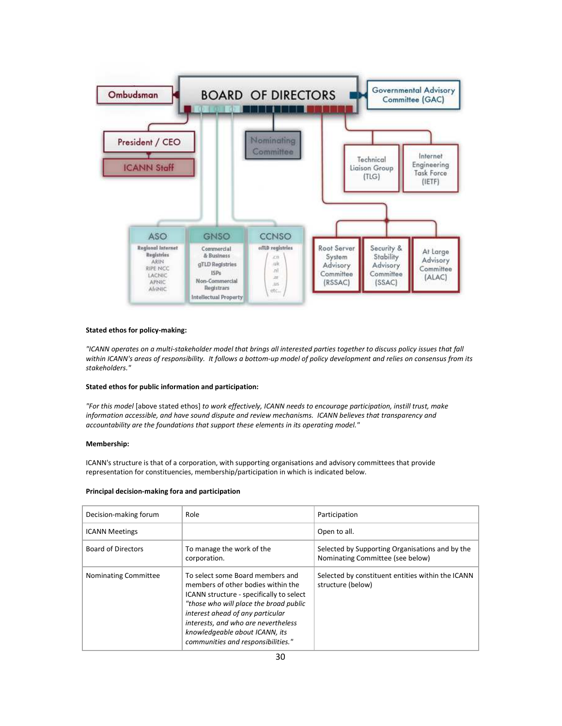

### Stated ethos for policy-making:

"ICANN operates on a multi-stakeholder model that brings all interested parties together to discuss policy issues that fall within ICANN's areas of responsibility. It follows a bottom-up model of policy development and relies on consensus from its stakeholders."

# Stated ethos for public information and participation:

"For this model [above stated ethos] to work effectively, ICANN needs to encourage participation, instill trust, make information accessible, and have sound dispute and review mechanisms. ICANN believes that transparency and accountability are the foundations that support these elements in its operating model."

# Membership:

ICANN's structure is that of a corporation, with supporting organisations and advisory committees that provide representation for constituencies, membership/participation in which is indicated below.

#### Principal decision-making fora and participation

| Decision-making forum     | Role                                                                                                                                                                                                                                                                                                            | Participation                                                                       |
|---------------------------|-----------------------------------------------------------------------------------------------------------------------------------------------------------------------------------------------------------------------------------------------------------------------------------------------------------------|-------------------------------------------------------------------------------------|
| <b>ICANN Meetings</b>     |                                                                                                                                                                                                                                                                                                                 | Open to all.                                                                        |
| <b>Board of Directors</b> | To manage the work of the<br>corporation.                                                                                                                                                                                                                                                                       | Selected by Supporting Organisations and by the<br>Nominating Committee (see below) |
| Nominating Committee      | To select some Board members and<br>members of other bodies within the<br>ICANN structure - specifically to select<br>"those who will place the broad public<br>interest ahead of any particular<br>interests, and who are nevertheless<br>knowledgeable about ICANN, its<br>communities and responsibilities." | Selected by constituent entities within the ICANN<br>structure (below)              |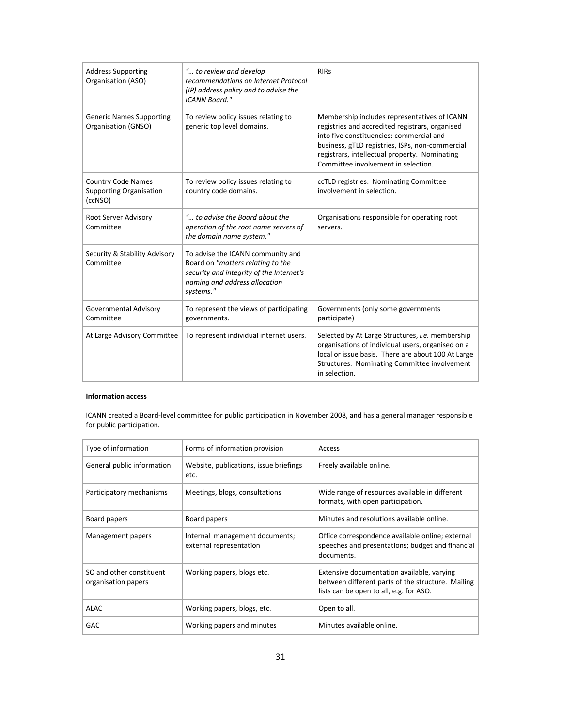| <b>Address Supporting</b><br>Organisation (ASO)                        | " to review and develop<br>recommendations on Internet Protocol<br>(IP) address policy and to advise the<br><b>ICANN Board."</b>                                 | <b>RIRs</b>                                                                                                                                                                                                                                                                            |
|------------------------------------------------------------------------|------------------------------------------------------------------------------------------------------------------------------------------------------------------|----------------------------------------------------------------------------------------------------------------------------------------------------------------------------------------------------------------------------------------------------------------------------------------|
| <b>Generic Names Supporting</b><br>Organisation (GNSO)                 | To review policy issues relating to<br>generic top level domains.                                                                                                | Membership includes representatives of ICANN<br>registries and accredited registrars, organised<br>into five constituencies: commercial and<br>business, gTLD registries, ISPs, non-commercial<br>registrars, intellectual property. Nominating<br>Committee involvement in selection. |
| <b>Country Code Names</b><br><b>Supporting Organisation</b><br>(ccNSO) | To review policy issues relating to<br>country code domains.                                                                                                     | ccTLD registries. Nominating Committee<br>involvement in selection.                                                                                                                                                                                                                    |
| Root Server Advisory<br>Committee                                      | " to advise the Board about the<br>operation of the root name servers of<br>the domain name system."                                                             | Organisations responsible for operating root<br>servers.                                                                                                                                                                                                                               |
| Security & Stability Advisory<br>Committee                             | To advise the ICANN community and<br>Board on "matters relating to the<br>security and integrity of the Internet's<br>naming and address allocation<br>systems." |                                                                                                                                                                                                                                                                                        |
| Governmental Advisory<br>Committee                                     | To represent the views of participating<br>governments.                                                                                                          | Governments (only some governments<br>participate)                                                                                                                                                                                                                                     |
| At Large Advisory Committee                                            | To represent individual internet users.                                                                                                                          | Selected by At Large Structures, <i>i.e.</i> membership<br>organisations of individual users, organised on a<br>local or issue basis. There are about 100 At Large<br>Structures. Nominating Committee involvement<br>in selection.                                                    |

# Information access

ICANN created a Board-level committee for public participation in November 2008, and has a general manager responsible for public participation.

| Type of information                             | Forms of information provision                            | Access                                                                                                                                     |
|-------------------------------------------------|-----------------------------------------------------------|--------------------------------------------------------------------------------------------------------------------------------------------|
| General public information                      | Website, publications, issue briefings<br>etc.            | Freely available online.                                                                                                                   |
| Participatory mechanisms                        | Meetings, blogs, consultations                            | Wide range of resources available in different<br>formats, with open participation.                                                        |
| Board papers                                    | Board papers                                              | Minutes and resolutions available online.                                                                                                  |
| Management papers                               | Internal management documents;<br>external representation | Office correspondence available online; external<br>speeches and presentations; budget and financial<br>documents.                         |
| SO and other constituent<br>organisation papers | Working papers, blogs etc.                                | Extensive documentation available, varying<br>between different parts of the structure. Mailing<br>lists can be open to all, e.g. for ASO. |
| <b>ALAC</b>                                     | Working papers, blogs, etc.                               | Open to all.                                                                                                                               |
| GAC                                             | Working papers and minutes                                | Minutes available online.                                                                                                                  |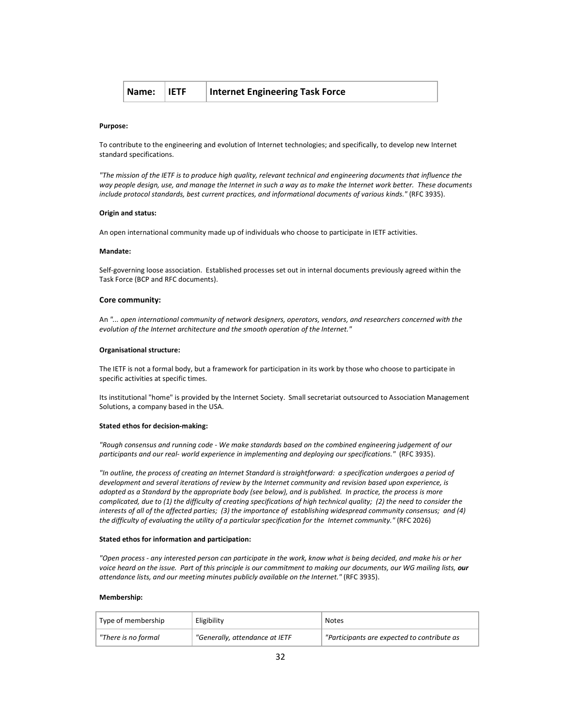#### Purpose:

To contribute to the engineering and evolution of Internet technologies; and specifically, to develop new Internet standard specifications.

"The mission of the IETF is to produce high quality, relevant technical and engineering documents that influence the way people design, use, and manage the Internet in such a way as to make the Internet work better. These documents include protocol standards, best current practices, and informational documents of various kinds." (RFC 3935).

### Origin and status:

An open international community made up of individuals who choose to participate in IETF activities.

#### Mandate:

Self-governing loose association. Established processes set out in internal documents previously agreed within the Task Force (BCP and RFC documents).

#### Core community:

An "... open international community of network designers, operators, vendors, and researchers concerned with the evolution of the Internet architecture and the smooth operation of the Internet."

#### Organisational structure:

The IETF is not a formal body, but a framework for participation in its work by those who choose to participate in specific activities at specific times.

Its institutional "home" is provided by the Internet Society. Small secretariat outsourced to Association Management Solutions, a company based in the USA.

#### Stated ethos for decision-making:

"Rough consensus and running code - We make standards based on the combined engineering judgement of our participants and our real- world experience in implementing and deploying our specifications." (RFC 3935).

"In outline, the process of creating an Internet Standard is straightforward: a specification undergoes a period of development and several iterations of review by the Internet community and revision based upon experience, is adopted as a Standard by the appropriate body (see below), and is published. In practice, the process is more complicated, due to (1) the difficulty of creating specifications of high technical quality; (2) the need to consider the interests of all of the affected parties; (3) the importance of establishing widespread community consensus; and (4) the difficulty of evaluating the utility of a particular specification for the Internet community." (RFC 2026)

### Stated ethos for information and participation:

"Open process - any interested person can participate in the work, know what is being decided, and make his or her voice heard on the issue. Part of this principle is our commitment to making our documents, our WG mailing lists, our attendance lists, and our meeting minutes publicly available on the Internet." (RFC 3935).

### Membership:

| Type of membership  | Eligibility                    | Notes                                       |
|---------------------|--------------------------------|---------------------------------------------|
| "There is no formal | "Generally, attendance at IETF | "Participants are expected to contribute as |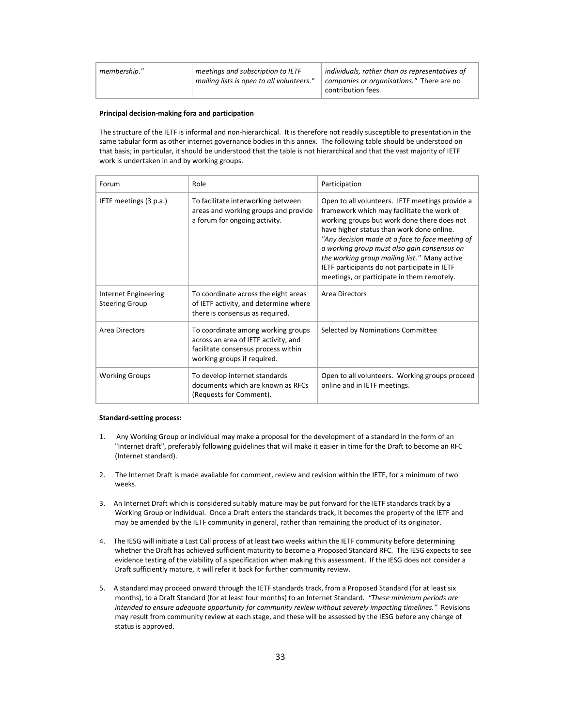| meetings and subscription to IETF<br>individuals, rather than as representatives of<br>membership."<br>mailing lists is open to all volunteers."<br>companies or organisations." There are no<br>contribution fees. |  |  |  |
|---------------------------------------------------------------------------------------------------------------------------------------------------------------------------------------------------------------------|--|--|--|
|---------------------------------------------------------------------------------------------------------------------------------------------------------------------------------------------------------------------|--|--|--|

## Principal decision-making fora and participation

The structure of the IETF is informal and non-hierarchical. It is therefore not readily susceptible to presentation in the same tabular form as other internet governance bodies in this annex. The following table should be understood on that basis; in particular, it should be understood that the table is not hierarchical and that the vast majority of IETF work is undertaken in and by working groups.

| Forum                                         | Role                                                                                                                                             | Participation                                                                                                                                                                                                                                                                                                                                                                                                                             |
|-----------------------------------------------|--------------------------------------------------------------------------------------------------------------------------------------------------|-------------------------------------------------------------------------------------------------------------------------------------------------------------------------------------------------------------------------------------------------------------------------------------------------------------------------------------------------------------------------------------------------------------------------------------------|
| IETF meetings (3 p.a.)                        | To facilitate interworking between<br>areas and working groups and provide<br>a forum for ongoing activity.                                      | Open to all volunteers. IETF meetings provide a<br>framework which may facilitate the work of<br>working groups but work done there does not<br>have higher status than work done online.<br>"Any decision made at a face to face meeting of<br>a working group must also gain consensus on<br>the working group mailing list." Many active<br>IETF participants do not participate in IETF<br>meetings, or participate in them remotely. |
| Internet Engineering<br><b>Steering Group</b> | To coordinate across the eight areas<br>of IETF activity, and determine where<br>there is consensus as required.                                 | Area Directors                                                                                                                                                                                                                                                                                                                                                                                                                            |
| Area Directors                                | To coordinate among working groups<br>across an area of IETF activity, and<br>facilitate consensus process within<br>working groups if required. | Selected by Nominations Committee                                                                                                                                                                                                                                                                                                                                                                                                         |
| <b>Working Groups</b>                         | To develop internet standards<br>documents which are known as RFCs<br>(Requests for Comment).                                                    | Open to all volunteers. Working groups proceed<br>online and in IETF meetings.                                                                                                                                                                                                                                                                                                                                                            |

### Standard-setting process:

- 1. Any Working Group or individual may make a proposal for the development of a standard in the form of an "Internet draft", preferably following guidelines that will make it easier in time for the Draft to become an RFC (Internet standard).
- 2. The Internet Draft is made available for comment, review and revision within the IETF, for a minimum of two weeks.
- 3. An Internet Draft which is considered suitably mature may be put forward for the IETF standards track by a Working Group or individual. Once a Draft enters the standards track, it becomes the property of the IETF and may be amended by the IETF community in general, rather than remaining the product of its originator.
- 4. The IESG will initiate a Last Call process of at least two weeks within the IETF community before determining whether the Draft has achieved sufficient maturity to become a Proposed Standard RFC. The IESG expects to see evidence testing of the viability of a specification when making this assessment. If the IESG does not consider a Draft sufficiently mature, it will refer it back for further community review.
- 5. A standard may proceed onward through the IETF standards track, from a Proposed Standard (for at least six months), to a Draft Standard (for at least four months) to an Internet Standard. "These minimum periods are intended to ensure adequate opportunity for community review without severely impacting timelines." Revisions may result from community review at each stage, and these will be assessed by the IESG before any change of status is approved.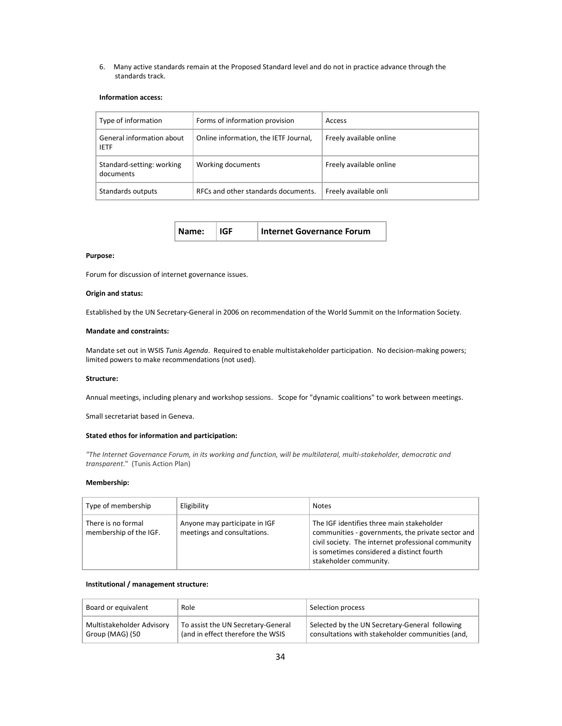6. Many active standards remain at the Proposed Standard level and do not in practice advance through the standards track.

# Information access:

| Type of information                      | Forms of information provision        | Access                  |
|------------------------------------------|---------------------------------------|-------------------------|
| General information about<br><b>IETF</b> | Online information, the IETF Journal, | Freely available online |
| Standard-setting: working<br>documents   | Working documents                     | Freely available online |
| Standards outputs                        | RFCs and other standards documents.   | Freely available onli   |

| Name: | $\vert$ IGF | Internet Governance Forum |
|-------|-------------|---------------------------|
|-------|-------------|---------------------------|

### Purpose:

Forum for discussion of internet governance issues.

#### Origin and status:

Established by the UN Secretary-General in 2006 on recommendation of the World Summit on the Information Society.

# Mandate and constraints:

Mandate set out in WSIS Tunis Agenda. Required to enable multistakeholder participation. No decision-making powers; limited powers to make recommendations (not used).

#### Structure:

Annual meetings, including plenary and workshop sessions. Scope for "dynamic coalitions" to work between meetings.

Small secretariat based in Geneva.

### Stated ethos for information and participation:

"The Internet Governance Forum, in its working and function, will be multilateral, multi-stakeholder, democratic and transparent." (Tunis Action Plan)

# Membership:

| Type of membership                           | Eligibility                                                  | <b>Notes</b>                                                                                                                                                                                                                |
|----------------------------------------------|--------------------------------------------------------------|-----------------------------------------------------------------------------------------------------------------------------------------------------------------------------------------------------------------------------|
| There is no formal<br>membership of the IGF. | Anyone may participate in IGF<br>meetings and consultations. | The IGF identifies three main stakeholder<br>communities - governments, the private sector and<br>civil society. The internet professional community<br>is sometimes considered a distinct fourth<br>stakeholder community. |

# Institutional / management structure:

| Board or equivalent       | Role                               | Selection process                                |
|---------------------------|------------------------------------|--------------------------------------------------|
| Multistakeholder Advisory | To assist the UN Secretary-General | Selected by the UN Secretary-General following   |
| Group (MAG) (50           | (and in effect therefore the WSIS  | consultations with stakeholder communities (and. |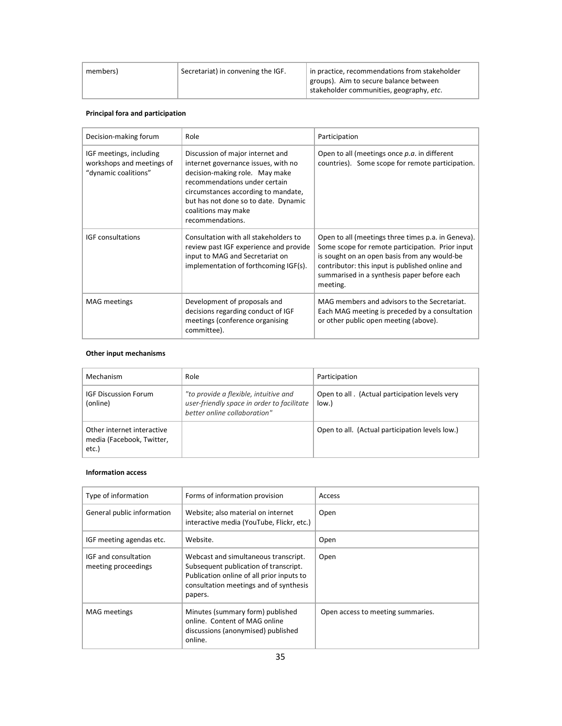| Secretariat) in convening the IGF.<br>members) | in practice, recommendations from stakeholder<br>groups). Aim to secure balance between<br>stakeholder communities, geography, etc. |
|------------------------------------------------|-------------------------------------------------------------------------------------------------------------------------------------|
|------------------------------------------------|-------------------------------------------------------------------------------------------------------------------------------------|

# Principal fora and participation

| Decision-making forum                                                        | Role                                                                                                                                                                                                                                                                 | Participation                                                                                                                                                                                                                                                        |
|------------------------------------------------------------------------------|----------------------------------------------------------------------------------------------------------------------------------------------------------------------------------------------------------------------------------------------------------------------|----------------------------------------------------------------------------------------------------------------------------------------------------------------------------------------------------------------------------------------------------------------------|
| IGF meetings, including<br>workshops and meetings of<br>"dynamic coalitions" | Discussion of major internet and<br>internet governance issues, with no<br>decision-making role. May make<br>recommendations under certain<br>circumstances according to mandate,<br>but has not done so to date. Dynamic<br>coalitions may make<br>recommendations. | Open to all (meetings once p.a. in different<br>countries). Some scope for remote participation.                                                                                                                                                                     |
| <b>IGF</b> consultations                                                     | Consultation with all stakeholders to<br>review past IGF experience and provide<br>input to MAG and Secretariat on<br>implementation of forthcoming IGF(s).                                                                                                          | Open to all (meetings three times p.a. in Geneva).<br>Some scope for remote participation. Prior input<br>is sought on an open basis from any would-be<br>contributor: this input is published online and<br>summarised in a synthesis paper before each<br>meeting. |
| <b>MAG</b> meetings                                                          | Development of proposals and<br>decisions regarding conduct of IGF<br>meetings (conference organising<br>committee).                                                                                                                                                 | MAG members and advisors to the Secretariat.<br>Each MAG meeting is preceded by a consultation<br>or other public open meeting (above).                                                                                                                              |

# Other input mechanisms

| Mechanism                                                        | Role                                                                                                                | Participation                                              |
|------------------------------------------------------------------|---------------------------------------------------------------------------------------------------------------------|------------------------------------------------------------|
| <b>IGF Discussion Forum</b><br>(online)                          | "to provide a flexible, intuitive and<br>user-friendly space in order to facilitate<br>hetter online collaboration" | Open to all. (Actual participation levels very<br>$low.$ ) |
| Other internet interactive<br>media (Facebook, Twitter,<br>etc.) |                                                                                                                     | Open to all. (Actual participation levels low.)            |

# Information access

| Type of information                         | Forms of information provision                                                                                                                                                  | Access                            |
|---------------------------------------------|---------------------------------------------------------------------------------------------------------------------------------------------------------------------------------|-----------------------------------|
| General public information                  | Website; also material on internet<br>interactive media (YouTube, Flickr, etc.)                                                                                                 | Open                              |
| IGF meeting agendas etc.                    | Website.                                                                                                                                                                        | Open                              |
| IGF and consultation<br>meeting proceedings | Webcast and simultaneous transcript.<br>Subsequent publication of transcript.<br>Publication online of all prior inputs to<br>consultation meetings and of synthesis<br>papers. | Open                              |
| <b>MAG</b> meetings                         | Minutes (summary form) published<br>online. Content of MAG online<br>discussions (anonymised) published<br>online.                                                              | Open access to meeting summaries. |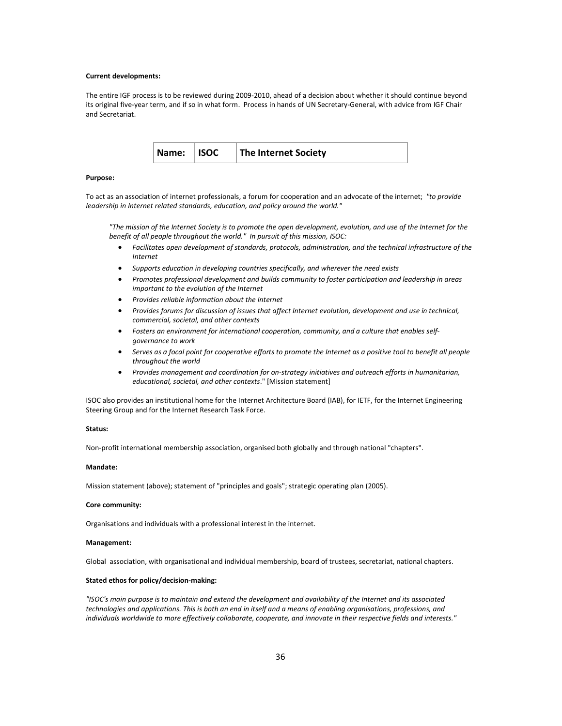#### Current developments:

The entire IGF process is to be reviewed during 2009-2010, ahead of a decision about whether it should continue beyond its original five-year term, and if so in what form. Process in hands of UN Secretary-General, with advice from IGF Chair and Secretariat.



#### Purpose:

To act as an association of internet professionals, a forum for cooperation and an advocate of the internet; "to provide leadership in Internet related standards, education, and policy around the world."

"The mission of the Internet Society is to promote the open development, evolution, and use of the Internet for the benefit of all people throughout the world." In pursuit of this mission, ISOC:

- Facilitates open development of standards, protocols, administration, and the technical infrastructure of the Internet
- Supports education in developing countries specifically, and wherever the need exists
- Promotes professional development and builds community to foster participation and leadership in areas important to the evolution of the Internet
- Provides reliable information about the Internet
- Provides forums for discussion of issues that affect Internet evolution, development and use in technical, commercial, societal, and other contexts
- Fosters an environment for international cooperation, community, and a culture that enables selfgovernance to work
- Serves as a focal point for cooperative efforts to promote the Internet as a positive tool to benefit all people throughout the world
- Provides management and coordination for on-strategy initiatives and outreach efforts in humanitarian, educational, societal, and other contexts." [Mission statement]

ISOC also provides an institutional home for the Internet Architecture Board (IAB), for IETF, for the Internet Engineering Steering Group and for the Internet Research Task Force.

### Status:

Non-profit international membership association, organised both globally and through national "chapters".

# Mandate:

Mission statement (above); statement of "principles and goals"; strategic operating plan (2005).

#### Core community:

Organisations and individuals with a professional interest in the internet.

### Management:

Global association, with organisational and individual membership, board of trustees, secretariat, national chapters.

# Stated ethos for policy/decision-making:

"ISOC's main purpose is to maintain and extend the development and availability of the Internet and its associated technologies and applications. This is both an end in itself and a means of enabling organisations, professions, and individuals worldwide to more effectively collaborate, cooperate, and innovate in their respective fields and interests."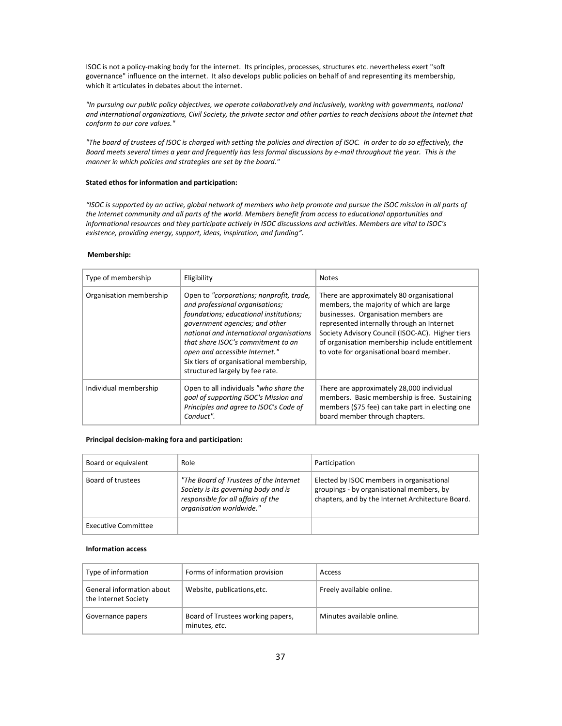ISOC is not a policy-making body for the internet. Its principles, processes, structures etc. nevertheless exert "soft governance" influence on the internet. It also develops public policies on behalf of and representing its membership, which it articulates in debates about the internet.

"In pursuing our public policy objectives, we operate collaboratively and inclusively, working with governments, national and international organizations, Civil Society, the private sector and other parties to reach decisions about the Internet that conform to our core values."

"The board of trustees of ISOC is charged with setting the policies and direction of ISOC. In order to do so effectively, the Board meets several times a year and frequently has less formal discussions by e-mail throughout the year. This is the manner in which policies and strategies are set by the board."

# Stated ethos for information and participation:

"ISOC is supported by an active, global network of members who help promote and pursue the ISOC mission in all parts of the Internet community and all parts of the world. Members benefit from access to educational opportunities and informational resources and they participate actively in ISOC discussions and activities. Members are vital to ISOC's existence, providing energy, support, ideas, inspiration, and funding".

### Membership:

| Type of membership      | Eligibility                                                                                                                                                                                                                                                                                                                                               | <b>Notes</b>                                                                                                                                                                                                                                                                                                                  |
|-------------------------|-----------------------------------------------------------------------------------------------------------------------------------------------------------------------------------------------------------------------------------------------------------------------------------------------------------------------------------------------------------|-------------------------------------------------------------------------------------------------------------------------------------------------------------------------------------------------------------------------------------------------------------------------------------------------------------------------------|
| Organisation membership | Open to "corporations; nonprofit, trade,<br>and professional organisations;<br>foundations; educational institutions;<br>government agencies; and other<br>national and international organisations<br>that share ISOC's commitment to an<br>open and accessible Internet."<br>Six tiers of organisational membership,<br>structured largely by fee rate. | There are approximately 80 organisational<br>members, the majority of which are large<br>businesses. Organisation members are<br>represented internally through an Internet<br>Society Advisory Council (ISOC-AC). Higher tiers<br>of organisation membership include entitlement<br>to vote for organisational board member. |
| Individual membership   | Open to all individuals "who share the<br>goal of supporting ISOC's Mission and<br>Principles and agree to ISOC's Code of<br>Conduct".                                                                                                                                                                                                                    | There are approximately 28,000 individual<br>members. Basic membership is free. Sustaining<br>members (\$75 fee) can take part in electing one<br>board member through chapters.                                                                                                                                              |

# Principal decision-making fora and participation:

| Board or equivalent | Role                                                                                                                                             | Participation                                                                                                                               |
|---------------------|--------------------------------------------------------------------------------------------------------------------------------------------------|---------------------------------------------------------------------------------------------------------------------------------------------|
| Board of trustees   | "The Board of Trustees of the Internet<br>Society is its governing body and is<br>responsible for all affairs of the<br>organisation worldwide." | Elected by ISOC members in organisational<br>groupings - by organisational members, by<br>chapters, and by the Internet Architecture Board. |
| Executive Committee |                                                                                                                                                  |                                                                                                                                             |

### Information access

| Type of information                               | Forms of information provision                     | Access                    |
|---------------------------------------------------|----------------------------------------------------|---------------------------|
| General information about<br>the Internet Society | Website, publications, etc.                        | Freely available online.  |
| Governance papers                                 | Board of Trustees working papers,<br>minutes, etc. | Minutes available online. |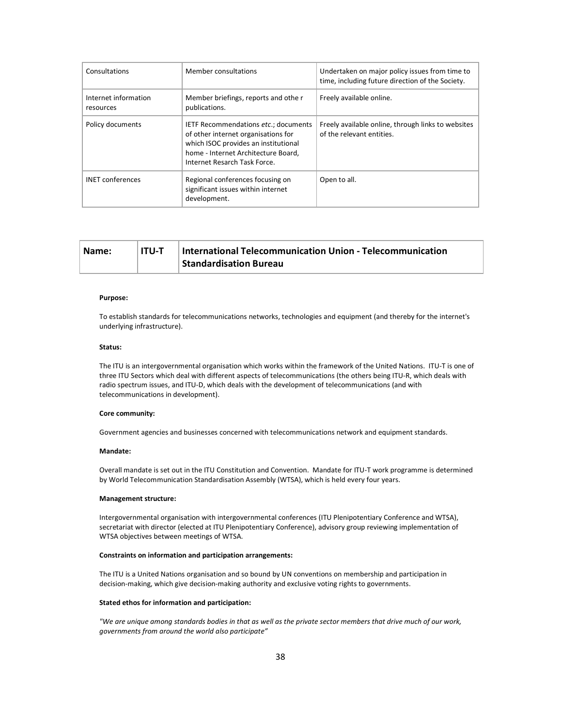| Consultations                     | Member consultations                                                                                                                                                                       | Undertaken on major policy issues from time to<br>time, including future direction of the Society. |
|-----------------------------------|--------------------------------------------------------------------------------------------------------------------------------------------------------------------------------------------|----------------------------------------------------------------------------------------------------|
| Internet information<br>resources | Member briefings, reports and othe r<br>publications.                                                                                                                                      | Freely available online.                                                                           |
| Policy documents                  | IETF Recommendations etc.; documents<br>of other internet organisations for<br>which ISOC provides an institutional<br>home - Internet Architecture Board,<br>Internet Resarch Task Force. | Freely available online, through links to websites<br>of the relevant entities.                    |
| <b>INET</b> conferences           | Regional conferences focusing on<br>significant issues within internet<br>development.                                                                                                     | Open to all.                                                                                       |

| Name: | ITU-T | International Telecommunication Union - Telecommunication |
|-------|-------|-----------------------------------------------------------|
|       |       | <b>Standardisation Bureau</b>                             |

## Purpose:

To establish standards for telecommunications networks, technologies and equipment (and thereby for the internet's underlying infrastructure).

### Status:

The ITU is an intergovernmental organisation which works within the framework of the United Nations. ITU-T is one of three ITU Sectors which deal with different aspects of telecommunications (the others being ITU-R, which deals with radio spectrum issues, and ITU-D, which deals with the development of telecommunications (and with telecommunications in development).

### Core community:

Government agencies and businesses concerned with telecommunications network and equipment standards.

# Mandate:

Overall mandate is set out in the ITU Constitution and Convention. Mandate for ITU-T work programme is determined by World Telecommunication Standardisation Assembly (WTSA), which is held every four years.

#### Management structure:

Intergovernmental organisation with intergovernmental conferences (ITU Plenipotentiary Conference and WTSA), secretariat with director (elected at ITU Plenipotentiary Conference), advisory group reviewing implementation of WTSA objectives between meetings of WTSA.

#### Constraints on information and participation arrangements:

The ITU is a United Nations organisation and so bound by UN conventions on membership and participation in decision-making, which give decision-making authority and exclusive voting rights to governments.

#### Stated ethos for information and participation:

"We are unique among standards bodies in that as well as the private sector members that drive much of our work, governments from around the world also participate"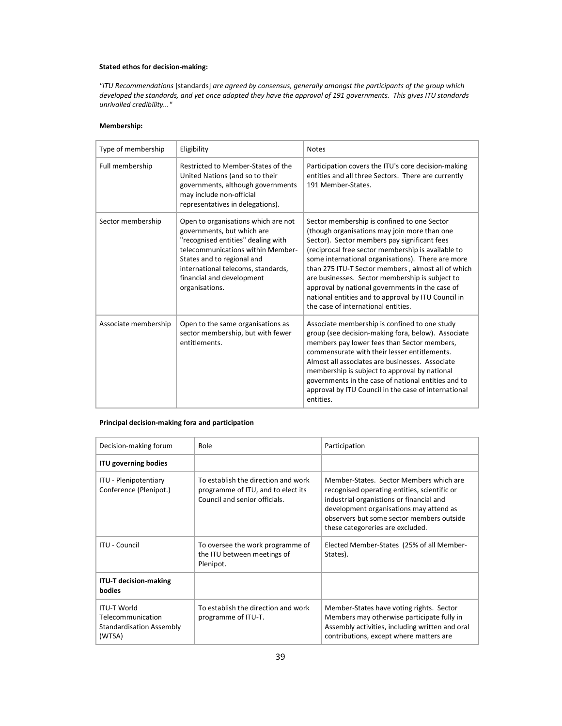# Stated ethos for decision-making:

"ITU Recommendations [standards] are agreed by consensus, generally amongst the participants of the group which developed the standards, and yet once adopted they have the approval of 191 governments. This gives ITU standards unrivalled credibility..."

# Membership:

| Type of membership   | Eligibility                                                                                                                                                                                                                                                     | <b>Notes</b>                                                                                                                                                                                                                                                                                                                                                                                                                                                                                                     |
|----------------------|-----------------------------------------------------------------------------------------------------------------------------------------------------------------------------------------------------------------------------------------------------------------|------------------------------------------------------------------------------------------------------------------------------------------------------------------------------------------------------------------------------------------------------------------------------------------------------------------------------------------------------------------------------------------------------------------------------------------------------------------------------------------------------------------|
| Full membership      | Restricted to Member-States of the<br>United Nations (and so to their<br>governments, although governments<br>may include non-official<br>representatives in delegations).                                                                                      | Participation covers the ITU's core decision-making<br>entities and all three Sectors. There are currently<br>191 Member-States.                                                                                                                                                                                                                                                                                                                                                                                 |
| Sector membership    | Open to organisations which are not<br>governments, but which are<br>"recognised entities" dealing with<br>telecommunications within Member-<br>States and to regional and<br>international telecoms, standards,<br>financial and development<br>organisations. | Sector membership is confined to one Sector<br>(though organisations may join more than one<br>Sector). Sector members pay significant fees<br>(reciprocal free sector membership is available to<br>some international organisations). There are more<br>than 275 ITU-T Sector members, almost all of which<br>are businesses. Sector membership is subject to<br>approval by national governments in the case of<br>national entities and to approval by ITU Council in<br>the case of international entities. |
| Associate membership | Open to the same organisations as<br>sector membership, but with fewer<br>entitlements.                                                                                                                                                                         | Associate membership is confined to one study<br>group (see decision-making fora, below). Associate<br>members pay lower fees than Sector members,<br>commensurate with their lesser entitlements.<br>Almost all associates are businesses. Associate<br>membership is subject to approval by national<br>governments in the case of national entities and to<br>approval by ITU Council in the case of international<br>entities.                                                                               |

# Principal decision-making fora and participation

| Decision-making forum                                                         | Role                                                                                                       | Participation                                                                                                                                                                                                                                                   |
|-------------------------------------------------------------------------------|------------------------------------------------------------------------------------------------------------|-----------------------------------------------------------------------------------------------------------------------------------------------------------------------------------------------------------------------------------------------------------------|
| <b>ITU governing bodies</b>                                                   |                                                                                                            |                                                                                                                                                                                                                                                                 |
| ITU - Plenipotentiary<br>Conference (Plenipot.)                               | To establish the direction and work<br>programme of ITU, and to elect its<br>Council and senior officials. | Member-States. Sector Members which are<br>recognised operating entities, scientific or<br>industrial organistions or financial and<br>development organisations may attend as<br>observers but some sector members outside<br>these categoreries are excluded. |
| <b>ITU - Council</b>                                                          | To oversee the work programme of<br>the ITU between meetings of<br>Plenipot.                               | Elected Member-States (25% of all Member-<br>States).                                                                                                                                                                                                           |
| <b>ITU-T decision-making</b><br><b>bodies</b>                                 |                                                                                                            |                                                                                                                                                                                                                                                                 |
| <b>ITU-T World</b><br>Telecommunication<br>Standardisation Assembly<br>(WTSA) | To establish the direction and work<br>programme of ITU-T.                                                 | Member-States have voting rights. Sector<br>Members may otherwise participate fully in<br>Assembly activities, including written and oral<br>contributions, except where matters are                                                                            |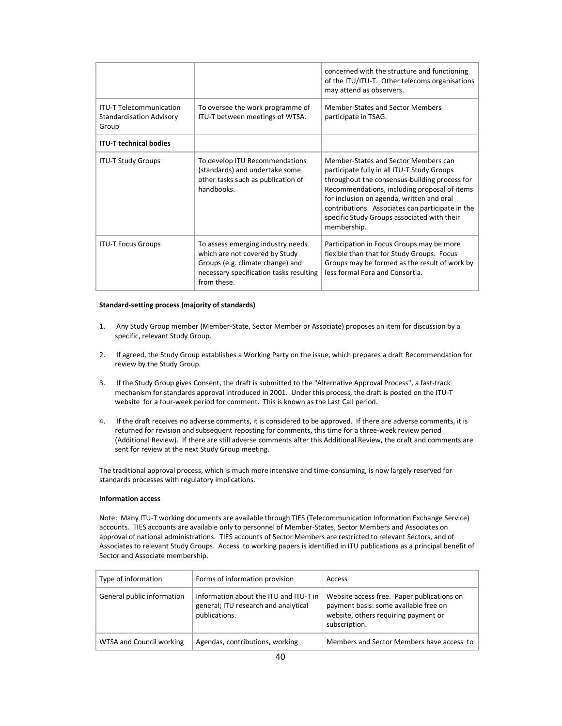|                                                                            |                                                                                                                                                                   | concerned with the structure and functioning<br>of the ITU/ITU-T. Other telecoms organisations<br>may attend as observers.                                                                                                                                                                                                                          |
|----------------------------------------------------------------------------|-------------------------------------------------------------------------------------------------------------------------------------------------------------------|-----------------------------------------------------------------------------------------------------------------------------------------------------------------------------------------------------------------------------------------------------------------------------------------------------------------------------------------------------|
| <b>ITU-T Telecommunication</b><br><b>Standardisation Advisory</b><br>Group | To oversee the work programme of<br>ITU-T between meetings of WTSA.                                                                                               | Member-States and Sector Members<br>participate in TSAG.                                                                                                                                                                                                                                                                                            |
| <b>ITU-T technical bodies</b>                                              |                                                                                                                                                                   |                                                                                                                                                                                                                                                                                                                                                     |
| <b>ITU-T Study Groups</b>                                                  | To develop ITU Recommendations<br>(standards) and undertake some<br>other tasks such as publication of<br>handbooks.                                              | Member-States and Sector Members can<br>participate fully in all ITU-T Study Groups<br>throughout the consensus-building process for<br>Recommendations, including proposal of items<br>for inclusion on agenda, written and oral<br>contributions. Associates can participate in the<br>specific Study Groups associated with their<br>membership. |
| <b>ITU-T Focus Groups</b>                                                  | To assess emerging industry needs<br>which are not covered by Study<br>Groups (e.g. climate change) and<br>necessary specification tasks resulting<br>from these. | Participation in Focus Groups may be more<br>flexible than that for Study Groups. Focus<br>Groups may be formed as the result of work by<br>less formal Fora and Consortia.                                                                                                                                                                         |

### Standard-setting process (majority of standards)

- 1. Any Study Group member (Member-State, Sector Member or Associate) proposes an item for discussion by a specific, relevant Study Group.
- 2. If agreed, the Study Group establishes a Working Party on the issue, which prepares a draft Recommendation for review by the Study Group.
- 3. If the Study Group gives Consent, the draft is submitted to the "Alternative Approval Process", a fast-track mechanism for standards approval introduced in 2001. Under this process, the draft is posted on the ITU-T website for a four-week period for comment. This is known as the Last Call period.
- 4. If the draft receives no adverse comments, it is considered to be approved. If there are adverse comments, it is returned for revision and subsequent reposting for comments, this time for a three-week review period (Additional Review). If there are still adverse comments after this Additional Review, the draft and comments are sent for review at the next Study Group meeting.

The traditional approval process, which is much more intensive and time-consuming, is now largely reserved for standards processes with regulatory implications.

# Information access

Note: Many ITU-T working documents are available through TIES (Telecommunication Information Exchange Service) accounts. TIES accounts are available only to personnel of Member-States, Sector Members and Associates on approval of national administrations. TIES accounts of Sector Members are restricted to relevant Sectors, and of Associates to relevant Study Groups. Access to working papers is identified in ITU publications as a principal benefit of Sector and Associate membership.

| Type of information        | Forms of information provision                                                                  | Access                                                                                                                                       |
|----------------------------|-------------------------------------------------------------------------------------------------|----------------------------------------------------------------------------------------------------------------------------------------------|
| General public information | Information about the ITU and ITU-T in<br>general; ITU research and analytical<br>publications. | Website access free. Paper publications on<br>payment basis: some available free on<br>website, others requiring payment or<br>subscription. |
| WTSA and Council working   | Agendas, contributions, working                                                                 | Members and Sector Members have access to                                                                                                    |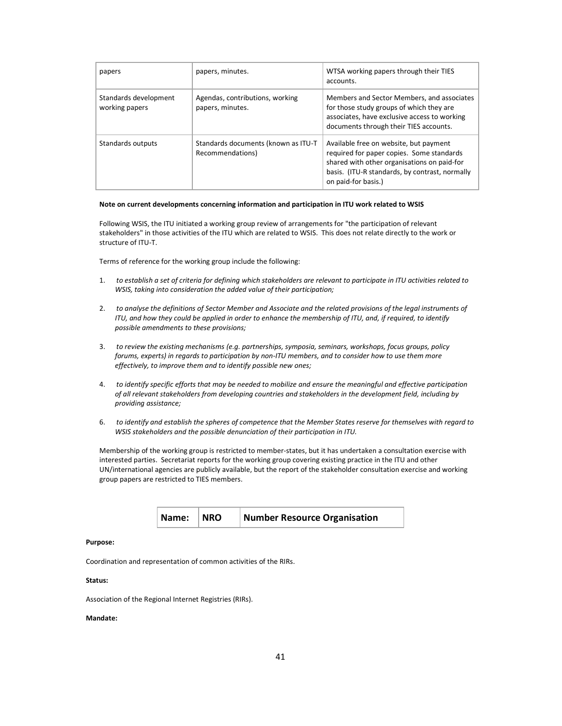| papers                                  | papers, minutes.                                        | WTSA working papers through their TIES<br>accounts.                                                                                                                                                         |
|-----------------------------------------|---------------------------------------------------------|-------------------------------------------------------------------------------------------------------------------------------------------------------------------------------------------------------------|
| Standards development<br>working papers | Agendas, contributions, working<br>papers, minutes.     | Members and Sector Members, and associates<br>for those study groups of which they are<br>associates, have exclusive access to working<br>documents through their TIES accounts.                            |
| Standards outputs                       | Standards documents (known as ITU-T<br>Recommendations) | Available free on website, but payment<br>required for paper copies. Some standards<br>shared with other organisations on paid-for<br>basis. (ITU-R standards, by contrast, normally<br>on paid-for basis.) |

#### Note on current developments concerning information and participation in ITU work related to WSIS

Following WSIS, the ITU initiated a working group review of arrangements for "the participation of relevant stakeholders" in those activities of the ITU which are related to WSIS. This does not relate directly to the work or structure of ITU-T.

Terms of reference for the working group include the following:

- 1. to establish a set of criteria for defining which stakeholders are relevant to participate in ITU activities related to WSIS, taking into consideration the added value of their participation;
- 2. to analyse the definitions of Sector Member and Associate and the related provisions of the legal instruments of ITU, and how they could be applied in order to enhance the membership of ITU, and, if required, to identify possible amendments to these provisions;
- 3. to review the existing mechanisms (e.g. partnerships, symposia, seminars, workshops, focus groups, policy forums, experts) in regards to participation by non-ITU members, and to consider how to use them more effectively, to improve them and to identify possible new ones;
- 4. to identify specific efforts that may be needed to mobilize and ensure the meaningful and effective participation of all relevant stakeholders from developing countries and stakeholders in the development field, including by providing assistance;
- 6. to identify and establish the spheres of competence that the Member States reserve for themselves with regard to WSIS stakeholders and the possible denunciation of their participation in ITU.

Membership of the working group is restricted to member-states, but it has undertaken a consultation exercise with interested parties. Secretariat reports for the working group covering existing practice in the ITU and other UN/international agencies are publicly available, but the report of the stakeholder consultation exercise and working group papers are restricted to TIES members.

| Name: NRO | <b>Number Resource Organisation</b> |
|-----------|-------------------------------------|
|           |                                     |

#### Purpose:

Coordination and representation of common activities of the RIRs.

## Status:

Association of the Regional Internet Registries (RIRs).

#### Mandate: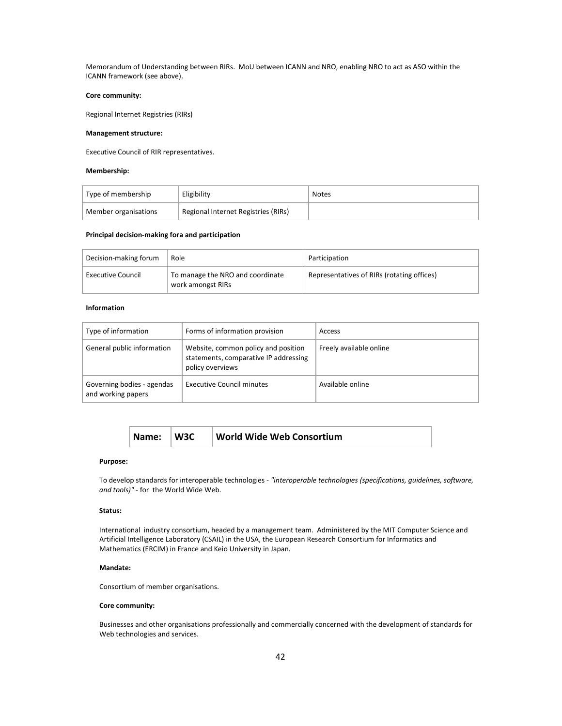Memorandum of Understanding between RIRs. MoU between ICANN and NRO, enabling NRO to act as ASO within the ICANN framework (see above).

# Core community:

Regional Internet Registries (RIRs)

## Management structure:

Executive Council of RIR representatives.

## Membership:

| Type of membership   | Eligibility                         | <b>Notes</b> |
|----------------------|-------------------------------------|--------------|
| Member organisations | Regional Internet Registries (RIRs) |              |

#### Principal decision-making fora and participation

| Decision-making forum    | Role                                                  | Participation                              |
|--------------------------|-------------------------------------------------------|--------------------------------------------|
| <b>Executive Council</b> | To manage the NRO and coordinate<br>work amongst RIRs | Representatives of RIRs (rotating offices) |

# Information

| Type of information                              | Forms of information provision                                                                   | Access                  |
|--------------------------------------------------|--------------------------------------------------------------------------------------------------|-------------------------|
| General public information                       | Website, common policy and position<br>statements, comparative IP addressing<br>policy overviews | Freely available online |
| Governing bodies - agendas<br>and working papers | Executive Council minutes                                                                        | Available online        |

| Name: W3C |  | <b>World Wide Web Consortium</b> |
|-----------|--|----------------------------------|
|-----------|--|----------------------------------|

#### Purpose:

To develop standards for interoperable technologies - "interoperable technologies (specifications, guidelines, software, and tools)" - for the World Wide Web.

# Status:

International industry consortium, headed by a management team. Administered by the MIT Computer Science and Artificial Intelligence Laboratory (CSAIL) in the USA, the European Research Consortium for Informatics and Mathematics (ERCIM) in France and Keio University in Japan.

### Mandate:

Consortium of member organisations.

### Core community:

Businesses and other organisations professionally and commercially concerned with the development of standards for Web technologies and services.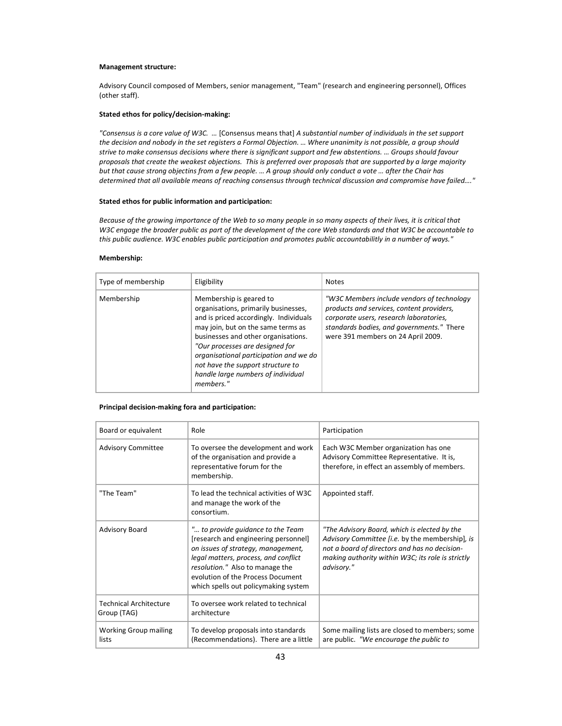#### Management structure:

Advisory Council composed of Members, senior management, "Team" (research and engineering personnel), Offices (other staff).

#### Stated ethos for policy/decision-making:

"Consensus is a core value of W3C. … [Consensus means that] A substantial number of individuals in the set support the decision and nobody in the set registers a Formal Objection. … Where unanimity is not possible, a group should strive to make consensus decisions where there is significant support and few abstentions. … Groups should favour proposals that create the weakest objections. This is preferred over proposals that are supported by a large majority but that cause strong objectins from a few people. … A group should only conduct a vote … after the Chair has determined that all available means of reaching consensus through technical discussion and compromise have failed…."

# Stated ethos for public information and participation:

Because of the growing importance of the Web to so many people in so many aspects of their lives, it is critical that W3C engage the broader public as part of the development of the core Web standards and that W3C be accountable to this public audience. W3C enables public participation and promotes public accountabilitly in a number of ways."

### Membership:

| Type of membership | Eligibility                                                                                                                                                                                                                                                                                                                                                 | <b>Notes</b>                                                                                                                                                                                                           |
|--------------------|-------------------------------------------------------------------------------------------------------------------------------------------------------------------------------------------------------------------------------------------------------------------------------------------------------------------------------------------------------------|------------------------------------------------------------------------------------------------------------------------------------------------------------------------------------------------------------------------|
| Membership         | Membership is geared to<br>organisations, primarily businesses,<br>and is priced accordingly. Individuals<br>may join, but on the same terms as<br>businesses and other organisations.<br>"Our processes are designed for<br>organisational participation and we do<br>not have the support structure to<br>handle large numbers of individual<br>members." | "W3C Members include vendors of technology"<br>products and services, content providers,<br>corporate users, research laboratories,<br>standards bodies, and governments." There<br>were 391 members on 24 April 2009. |

# Principal decision-making fora and participation:

| Board or equivalent                          | Role                                                                                                                                                                                                                                                                    | Participation                                                                                                                                                                                                       |
|----------------------------------------------|-------------------------------------------------------------------------------------------------------------------------------------------------------------------------------------------------------------------------------------------------------------------------|---------------------------------------------------------------------------------------------------------------------------------------------------------------------------------------------------------------------|
| <b>Advisory Committee</b>                    | To oversee the development and work<br>of the organisation and provide a<br>representative forum for the<br>membership.                                                                                                                                                 | Each W3C Member organization has one<br>Advisory Committee Representative. It is,<br>therefore, in effect an assembly of members.                                                                                   |
| "The Team"                                   | To lead the technical activities of W3C<br>and manage the work of the<br>consortium.                                                                                                                                                                                    | Appointed staff.                                                                                                                                                                                                    |
| Advisory Board                               | " to provide quidance to the Team<br>[research and engineering personnel]<br>on issues of strategy, management,<br>legal matters, process, and conflict<br>resolution." Also to manage the<br>evolution of the Process Document<br>which spells out policymaking system | "The Advisory Board, which is elected by the<br>Advisory Committee [i.e. by the membership], is<br>not a board of directors and has no decision-<br>making authority within W3C; its role is strictly<br>advisory." |
| <b>Technical Architecture</b><br>Group (TAG) | To oversee work related to technical<br>architecture                                                                                                                                                                                                                    |                                                                                                                                                                                                                     |
| <b>Working Group mailing</b><br>lists        | To develop proposals into standards<br>(Recommendations). There are a little                                                                                                                                                                                            | Some mailing lists are closed to members; some<br>are public. "We encourage the public to                                                                                                                           |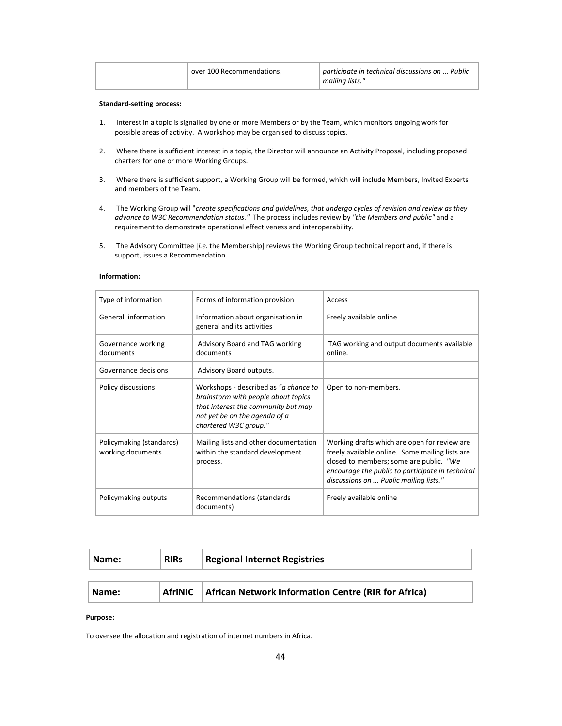| over 100 Recommendations. | participate in technical discussions on  Public<br>mailing lists." |
|---------------------------|--------------------------------------------------------------------|
|---------------------------|--------------------------------------------------------------------|

### Standard-setting process:

- 1. Interest in a topic is signalled by one or more Members or by the Team, which monitors ongoing work for possible areas of activity. A workshop may be organised to discuss topics.
- 2. Where there is sufficient interest in a topic, the Director will announce an Activity Proposal, including proposed charters for one or more Working Groups.
- 3. Where there is sufficient support, a Working Group will be formed, which will include Members, Invited Experts and members of the Team.
- 4. The Working Group will "create specifications and quidelines, that undergo cycles of revision and review as they advance to W3C Recommendation status." The process includes review by "the Members and public" and a requirement to demonstrate operational effectiveness and interoperability.
- 5. The Advisory Committee [i.e. the Membership] reviews the Working Group technical report and, if there is support, issues a Recommendation.

| Type of information                           | Forms of information provision                                                                                                                                                | Access                                                                                                                                                                                                                                   |
|-----------------------------------------------|-------------------------------------------------------------------------------------------------------------------------------------------------------------------------------|------------------------------------------------------------------------------------------------------------------------------------------------------------------------------------------------------------------------------------------|
| General information                           | Information about organisation in<br>general and its activities                                                                                                               | Freely available online                                                                                                                                                                                                                  |
| Governance working<br>documents               | Advisory Board and TAG working<br>documents                                                                                                                                   | TAG working and output documents available<br>online.                                                                                                                                                                                    |
| Governance decisions                          | Advisory Board outputs.                                                                                                                                                       |                                                                                                                                                                                                                                          |
| Policy discussions                            | Workshops - described as "a chance to<br>brainstorm with people about topics<br>that interest the community but may<br>not yet be on the agenda of a<br>chartered W3C group." | Open to non-members.                                                                                                                                                                                                                     |
| Policymaking (standards)<br>working documents | Mailing lists and other documentation<br>within the standard development<br>process.                                                                                          | Working drafts which are open for review are<br>freely available online. Some mailing lists are<br>closed to members; some are public. "We<br>encourage the public to participate in technical<br>discussions on  Public mailing lists." |
| Policymaking outputs                          | Recommendations (standards<br>documents)                                                                                                                                      | Freely available online                                                                                                                                                                                                                  |

### Information:

| Name: | <b>RIRS</b> | <b>Regional Internet Registries</b>                        |
|-------|-------------|------------------------------------------------------------|
|       |             |                                                            |
| Name: | AfriNIC     | <b>African Network Information Centre (RIR for Africa)</b> |

### Purpose:

To oversee the allocation and registration of internet numbers in Africa.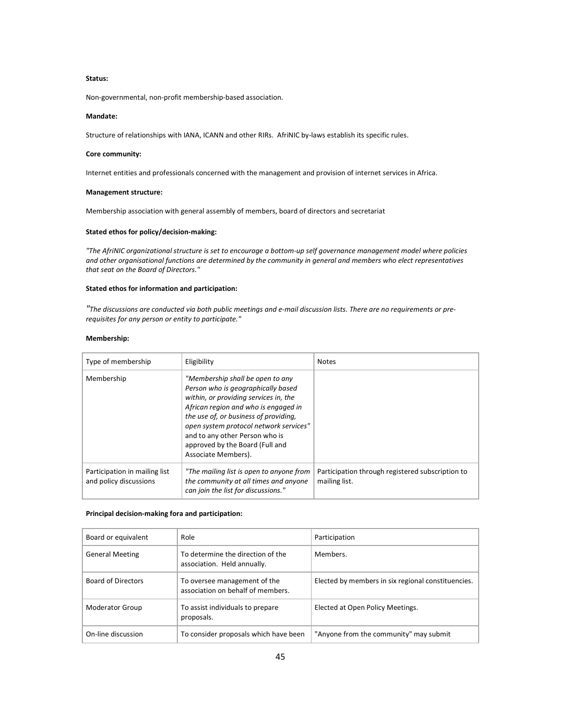### Status:

Non-governmental, non-profit membership-based association.

# Mandate:

Structure of relationships with IANA, ICANN and other RIRs. AfriNIC by-laws establish its specific rules.

#### Core community:

Internet entities and professionals concerned with the management and provision of internet services in Africa.

# Management structure:

Membership association with general assembly of members, board of directors and secretariat

# Stated ethos for policy/decision-making:

"The AfriNIC organizational structure is set to encourage a bottom-up self governance management model where policies and other organisational functions are determined by the community in general and members who elect representatives that seat on the Board of Directors."

# Stated ethos for information and participation:

"The discussions are conducted via both public meetings and e-mail discussion lists. There are no requirements or prerequisites for any person or entity to participate."

# Membership:

| Type of membership                                      | Eligibility                                                                                                                                                                                                                                                                                                                            | <b>Notes</b>                                                      |
|---------------------------------------------------------|----------------------------------------------------------------------------------------------------------------------------------------------------------------------------------------------------------------------------------------------------------------------------------------------------------------------------------------|-------------------------------------------------------------------|
| Membership                                              | "Membership shall be open to any<br>Person who is geographically based<br>within, or providing services in, the<br>African region and who is engaged in<br>the use of, or business of providing,<br>open system protocol network services"<br>and to any other Person who is<br>approved by the Board (Full and<br>Associate Members). |                                                                   |
| Participation in mailing list<br>and policy discussions | "The mailing list is open to anyone from<br>the community at all times and anyone<br>can join the list for discussions."                                                                                                                                                                                                               | Participation through registered subscription to<br>mailing list. |

# Principal decision-making fora and participation:

| Board or equivalent       | Role                                                              | Participation                                      |
|---------------------------|-------------------------------------------------------------------|----------------------------------------------------|
| <b>General Meeting</b>    | To determine the direction of the<br>association. Held annually.  | Members.                                           |
| <b>Board of Directors</b> | To oversee management of the<br>association on behalf of members. | Elected by members in six regional constituencies. |
| Moderator Group           | To assist individuals to prepare<br>proposals.                    | Elected at Open Policy Meetings.                   |
| On-line discussion        | To consider proposals which have been                             | "Anyone from the community" may submit             |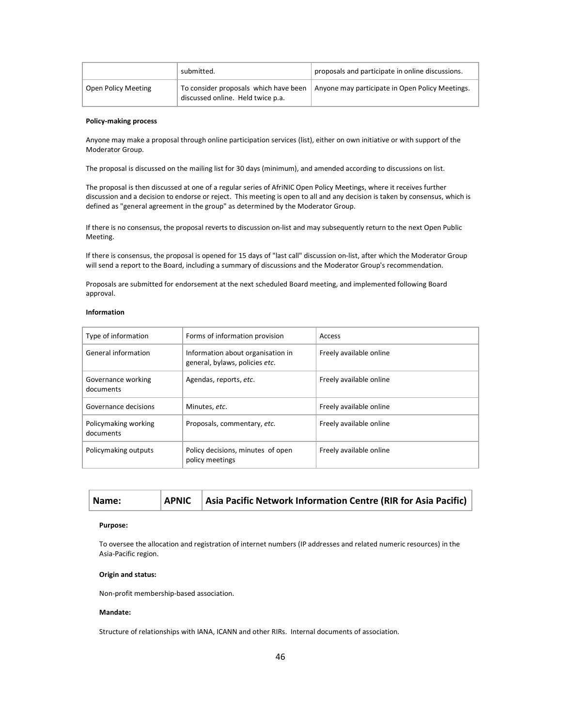|                            | submitted.                                                                 | proposals and participate in online discussions. |
|----------------------------|----------------------------------------------------------------------------|--------------------------------------------------|
| <b>Open Policy Meeting</b> | To consider proposals which have been<br>discussed online. Held twice p.a. | Anyone may participate in Open Policy Meetings.  |

# Policy-making process

Anyone may make a proposal through online participation services (list), either on own initiative or with support of the Moderator Group.

The proposal is discussed on the mailing list for 30 days (minimum), and amended according to discussions on list.

The proposal is then discussed at one of a regular series of AfriNIC Open Policy Meetings, where it receives further discussion and a decision to endorse or reject. This meeting is open to all and any decision is taken by consensus, which is defined as "general agreement in the group" as determined by the Moderator Group.

If there is no consensus, the proposal reverts to discussion on-list and may subsequently return to the next Open Public Meeting.

If there is consensus, the proposal is opened for 15 days of "last call" discussion on-list, after which the Moderator Group will send a report to the Board, including a summary of discussions and the Moderator Group's recommendation.

Proposals are submitted for endorsement at the next scheduled Board meeting, and implemented following Board approval.

## Information

| Type of information               | Forms of information provision                                      | Access                  |
|-----------------------------------|---------------------------------------------------------------------|-------------------------|
| General information               | Information about organisation in<br>general, bylaws, policies etc. | Freely available online |
| Governance working<br>documents   | Agendas, reports, etc.                                              | Freely available online |
| Governance decisions              | Minutes, etc.                                                       | Freely available online |
| Policymaking working<br>documents | Proposals, commentary, etc.                                         | Freely available online |
| Policymaking outputs              | Policy decisions, minutes of open<br>policy meetings                | Freely available online |

| Name: | <b>APNIC</b> | Asia Pacific Network Information Centre (RIR for Asia Pacific) |
|-------|--------------|----------------------------------------------------------------|
|       |              |                                                                |

### Purpose:

To oversee the allocation and registration of internet numbers (IP addresses and related numeric resources) in the Asia-Pacific region.

# Origin and status:

Non-profit membership-based association.

## Mandate:

Structure of relationships with IANA, ICANN and other RIRs. Internal documents of association.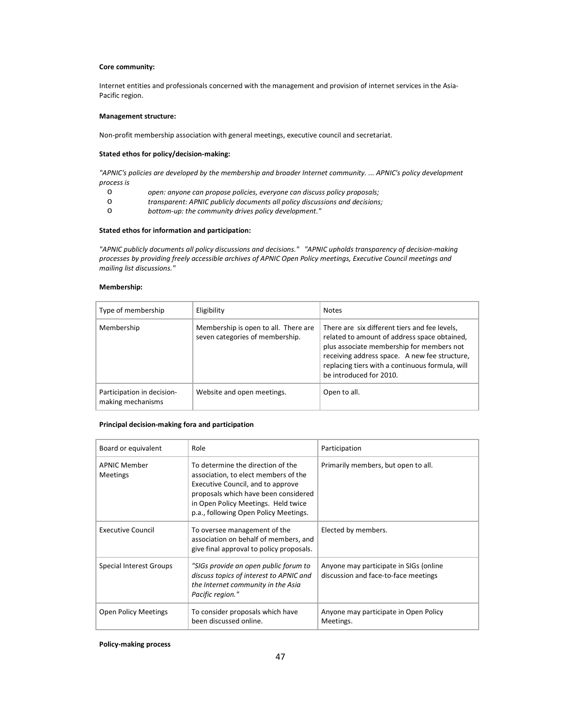## Core community:

Internet entities and professionals concerned with the management and provision of internet services in the Asia-Pacific region.

# Management structure:

Non-profit membership association with general meetings, executive council and secretariat.

### Stated ethos for policy/decision-making:

"APNIC's policies are developed by the membership and broader Internet community. ... APNIC's policy development process is

- o open: anyone can propose policies, everyone can discuss policy proposals;
- o transparent: APNIC publicly documents all policy discussions and decisions;
- bottom-up: the community drives policy development."

# Stated ethos for information and participation:

"APNIC publicly documents all policy discussions and decisions." "APNIC upholds transparency of decision-making processes by providing freely accessible archives of APNIC Open Policy meetings, Executive Council meetings and mailing list discussions."

# Membership:

| Type of membership                              | Eligibility                                                             | <b>Notes</b>                                                                                                                                                                                                                                                              |
|-------------------------------------------------|-------------------------------------------------------------------------|---------------------------------------------------------------------------------------------------------------------------------------------------------------------------------------------------------------------------------------------------------------------------|
| Membership                                      | Membership is open to all. There are<br>seven categories of membership. | There are six different tiers and fee levels,<br>related to amount of address space obtained,<br>plus associate membership for members not<br>receiving address space. A new fee structure,<br>replacing tiers with a continuous formula, will<br>be introduced for 2010. |
| Participation in decision-<br>making mechanisms | Website and open meetings.                                              | Open to all.                                                                                                                                                                                                                                                              |

### Principal decision-making fora and participation

| Board or equivalent                    | Role                                                                                                                                                                                                                                   | Participation                                                                  |
|----------------------------------------|----------------------------------------------------------------------------------------------------------------------------------------------------------------------------------------------------------------------------------------|--------------------------------------------------------------------------------|
| <b>APNIC Member</b><br><b>Meetings</b> | To determine the direction of the<br>association, to elect members of the<br>Executive Council, and to approve<br>proposals which have been considered<br>in Open Policy Meetings. Held twice<br>p.a., following Open Policy Meetings. | Primarily members, but open to all.                                            |
| <b>Executive Council</b>               | To oversee management of the<br>association on behalf of members, and<br>give final approval to policy proposals.                                                                                                                      | Elected by members.                                                            |
| Special Interest Groups                | "SIGs provide an open public forum to<br>discuss topics of interest to APNIC and<br>the Internet community in the Asia<br>Pacific region."                                                                                             | Anyone may participate in SIGs (online<br>discussion and face-to-face meetings |
| <b>Open Policy Meetings</b>            | To consider proposals which have<br>been discussed online.                                                                                                                                                                             | Anyone may participate in Open Policy<br>Meetings.                             |

# Policy-making process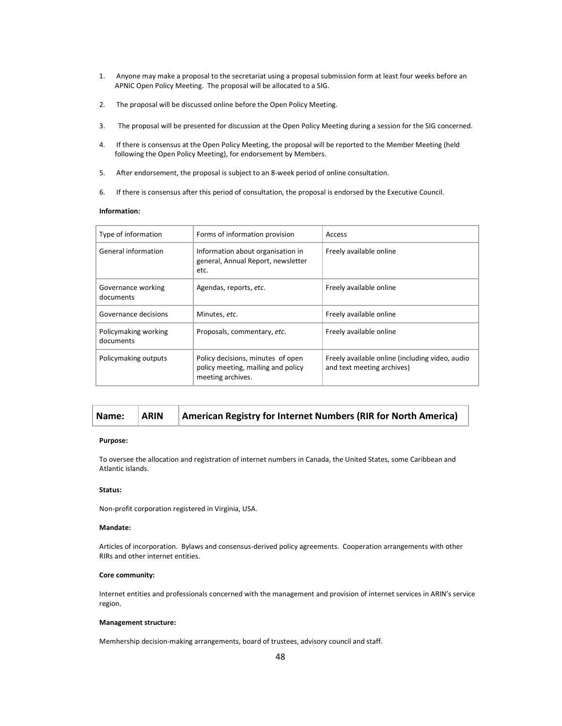- 1. Anyone may make a proposal to the secretariat using a proposal submission form at least four weeks before an APNIC Open Policy Meeting. The proposal will be allocated to a SIG.
- 2. The proposal will be discussed online before the Open Policy Meeting.
- 3. The proposal will be presented for discussion at the Open Policy Meeting during a session for the SIG concerned.
- 4. If there is consensus at the Open Policy Meeting, the proposal will be reported to the Member Meeting (held following the Open Policy Meeting), for endorsement by Members.
- 5. After endorsement, the proposal is subject to an 8-week period of online consultation.
- 6. If there is consensus after this period of consultation, the proposal is endorsed by the Executive Council.

# Information:

| Type of information               | Forms of information provision                                                               | Access                                                                        |
|-----------------------------------|----------------------------------------------------------------------------------------------|-------------------------------------------------------------------------------|
| General information               | Information about organisation in<br>general, Annual Report, newsletter<br>etc.              | Freely available online                                                       |
| Governance working<br>documents   | Agendas, reports, etc.                                                                       | Freely available online                                                       |
| Governance decisions              | Minutes, etc.                                                                                | Freely available online                                                       |
| Policymaking working<br>documents | Proposals, commentary, etc.                                                                  | Freely available online                                                       |
| Policymaking outputs              | Policy decisions, minutes of open<br>policy meeting, mailing and policy<br>meeting archives. | Freely available online (including video, audio<br>and text meeting archives) |

# Name: ARIN American Registry for Internet Numbers (RIR for North America)

### Purpose:

To oversee the allocation and registration of internet numbers in Canada, the United States, some Caribbean and Atlantic islands.

# Status:

Non-profit corporation registered in Virginia, USA.

### Mandate:

Articles of incorporation. Bylaws and consensus-derived policy agreements. Cooperation arrangements with other RIRs and other internet entities.

### Core community:

Internet entities and professionals concerned with the management and provision of internet services in ARIN's service region.

#### Management structure:

Memhership decision-making arrangements, board of trustees, advisory council and staff.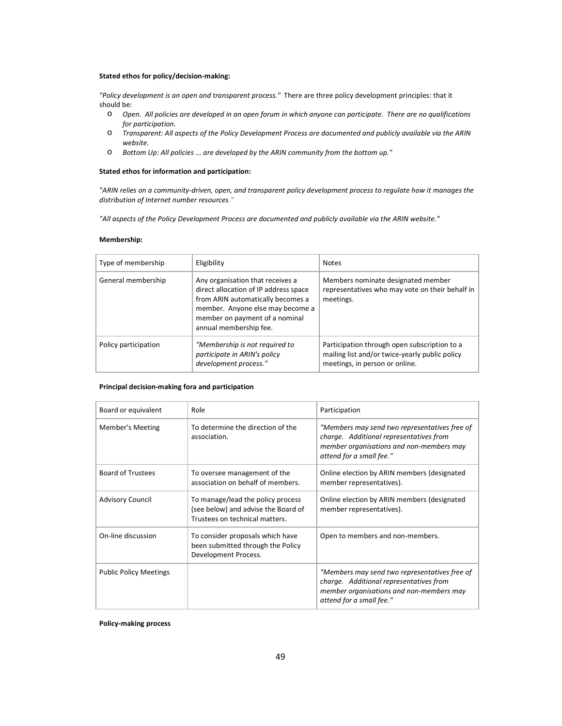### Stated ethos for policy/decision-making:

"Policy development is an open and transparent process." There are three policy development principles: that it should be:

- o Open. All policies are developed in an open forum in which anyone can participate. There are no qualifications for participation.
- o Transparent: All aspects of the Policy Development Process are documented and publicly available via the ARIN website.
- o Bottom Up: All policies ... are developed by the ARIN community from the bottom up."

#### Stated ethos for information and participation:

"ARIN relies on a community-driven, open, and transparent policy development process to regulate how it manages the distribution of Internet number resources."

"All aspects of the Policy Development Process are documented and publicly available via the ARIN website."

#### Membership:

| Type of membership   | Eligibility                                                                                                                                                                                                    | <b>Notes</b>                                                                                                                     |
|----------------------|----------------------------------------------------------------------------------------------------------------------------------------------------------------------------------------------------------------|----------------------------------------------------------------------------------------------------------------------------------|
| General membership   | Any organisation that receives a<br>direct allocation of IP address space<br>from ARIN automatically becomes a<br>member. Anyone else may become a<br>member on payment of a nominal<br>annual membership fee. | Members nominate designated member<br>representatives who may vote on their behalf in<br>meetings.                               |
| Policy participation | "Membership is not required to<br>participate in ARIN's policy<br>development process."                                                                                                                        | Participation through open subscription to a<br>mailing list and/or twice-yearly public policy<br>meetings, in person or online. |

# Principal decision-making fora and participation

| Board or equivalent           | Role                                                                                                       | Participation                                                                                                                                                    |
|-------------------------------|------------------------------------------------------------------------------------------------------------|------------------------------------------------------------------------------------------------------------------------------------------------------------------|
| Member's Meeting              | To determine the direction of the<br>association.                                                          | "Members may send two representatives free of<br>charge. Additional representatives from<br>member organisations and non-members may<br>attend for a small fee." |
| <b>Board of Trustees</b>      | To oversee management of the<br>association on behalf of members.                                          | Online election by ARIN members (designated<br>member representatives).                                                                                          |
| <b>Advisory Council</b>       | To manage/lead the policy process<br>(see below) and advise the Board of<br>Trustees on technical matters. | Online election by ARIN members (designated<br>member representatives).                                                                                          |
| On-line discussion            | To consider proposals which have<br>been submitted through the Policy<br>Development Process.              | Open to members and non-members.                                                                                                                                 |
| <b>Public Policy Meetings</b> |                                                                                                            | "Members may send two representatives free of<br>charge. Additional representatives from<br>member organisations and non-members may<br>attend for a small fee." |

Policy-making process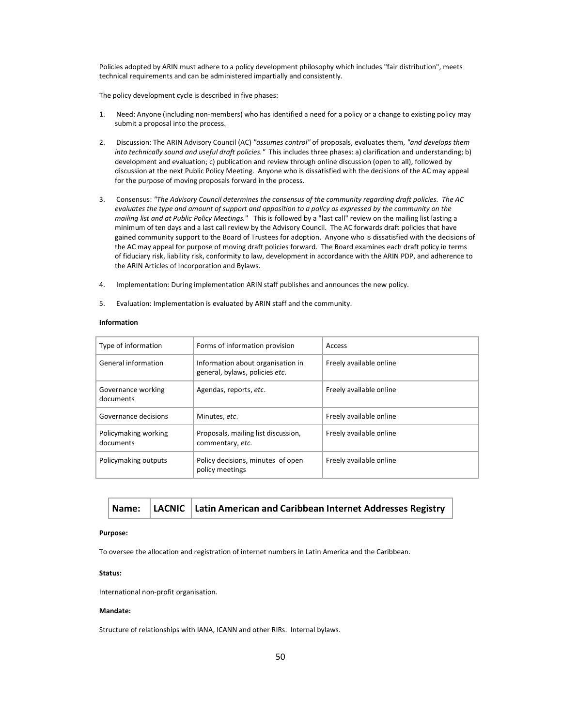Policies adopted by ARIN must adhere to a policy development philosophy which includes "fair distribution", meets technical requirements and can be administered impartially and consistently.

The policy development cycle is described in five phases:

- 1. Need: Anyone (including non-members) who has identified a need for a policy or a change to existing policy may submit a proposal into the process.
- 2. Discussion: The ARIN Advisory Council (AC) "assumes control" of proposals, evaluates them, "and develops them into technically sound and useful draft policies." This includes three phases: a) clarification and understanding; b) development and evaluation; c) publication and review through online discussion (open to all), followed by discussion at the next Public Policy Meeting. Anyone who is dissatisfied with the decisions of the AC may appeal for the purpose of moving proposals forward in the process.
- 3. Consensus: "The Advisory Council determines the consensus of the community regarding draft policies. The AC evaluates the type and amount of support and opposition to a policy as expressed by the community on the mailing list and at Public Policy Meetings." This is followed by a "last call" review on the mailing list lasting a minimum of ten days and a last call review by the Advisory Council. The AC forwards draft policies that have gained community support to the Board of Trustees for adoption. Anyone who is dissatisfied with the decisions of the AC may appeal for purpose of moving draft policies forward. The Board examines each draft policy in terms of fiduciary risk, liability risk, conformity to law, development in accordance with the ARIN PDP, and adherence to the ARIN Articles of Incorporation and Bylaws.
- 4. Implementation: During implementation ARIN staff publishes and announces the new policy.
- 5. Evaluation: Implementation is evaluated by ARIN staff and the community.

### Information

| Type of information               | Forms of information provision                                      | Access                  |
|-----------------------------------|---------------------------------------------------------------------|-------------------------|
| General information               | Information about organisation in<br>general, bylaws, policies etc. | Freely available online |
| Governance working<br>documents   | Agendas, reports, etc.                                              | Freely available online |
| Governance decisions              | Minutes, etc.                                                       | Freely available online |
| Policymaking working<br>documents | Proposals, mailing list discussion,<br>commentary, etc.             | Freely available online |
| Policymaking outputs              | Policy decisions, minutes of open<br>policy meetings                | Freely available online |

|  |  | Name:   LACNIC   Latin American and Caribbean Internet Addresses Registry |
|--|--|---------------------------------------------------------------------------|
|--|--|---------------------------------------------------------------------------|

#### Purpose:

To oversee the allocation and registration of internet numbers in Latin America and the Caribbean.

## Status:

International non-profit organisation.

#### Mandate:

Structure of relationships with IANA, ICANN and other RIRs. Internal bylaws.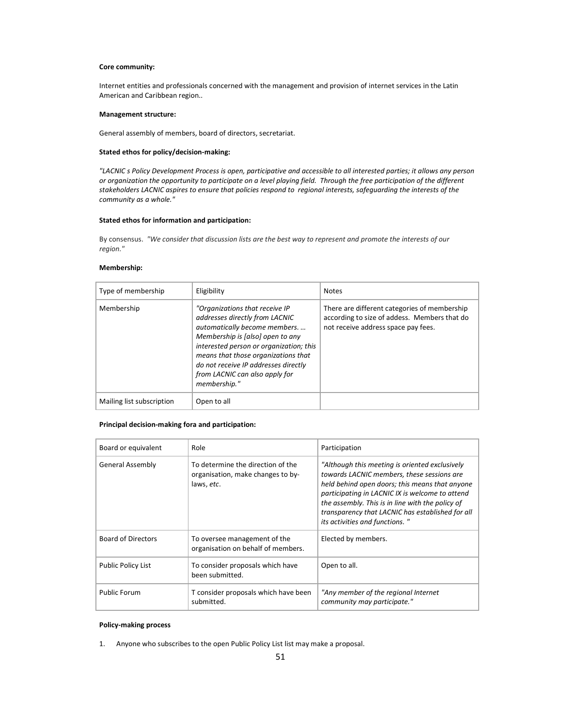### Core community:

Internet entities and professionals concerned with the management and provision of internet services in the Latin American and Caribbean region..

# Management structure:

General assembly of members, board of directors, secretariat.

### Stated ethos for policy/decision-making:

"LACNIC s Policy Development Process is open, participative and accessible to all interested parties; it allows any person or organization the opportunity to participate on a level playing field. Through the free participation of the different stakeholders LACNIC aspires to ensure that policies respond to regional interests, safeguarding the interests of the community as a whole."

#### Stated ethos for information and participation:

By consensus. "We consider that discussion lists are the best way to represent and promote the interests of our region."

# Membership:

| Type of membership        | Eligibility                                                                                                                                                                                                                                                                                                       | <b>Notes</b>                                                                                                                        |
|---------------------------|-------------------------------------------------------------------------------------------------------------------------------------------------------------------------------------------------------------------------------------------------------------------------------------------------------------------|-------------------------------------------------------------------------------------------------------------------------------------|
| Membership                | "Organizations that receive IP<br>addresses directly from LACNIC<br>automatically become members.<br>Membership is [also] open to any<br>interested person or organization; this<br>means that those organizations that<br>do not receive IP addresses directly<br>from LACNIC can also apply for<br>membership." | There are different categories of membership<br>according to size of addess. Members that do<br>not receive address space pay fees. |
| Mailing list subscription | Open to all                                                                                                                                                                                                                                                                                                       |                                                                                                                                     |

# Principal decision-making fora and participation:

| Board or equivalent       | Role                                                                                 | Participation                                                                                                                                                                                                                                                                                                                               |
|---------------------------|--------------------------------------------------------------------------------------|---------------------------------------------------------------------------------------------------------------------------------------------------------------------------------------------------------------------------------------------------------------------------------------------------------------------------------------------|
| General Assembly          | To determine the direction of the<br>organisation, make changes to by-<br>laws, etc. | "Although this meeting is oriented exclusively<br>towards LACNIC members, these sessions are<br>held behind open doors; this means that anyone<br>participating in LACNIC IX is welcome to attend<br>the assembly. This is in line with the policy of<br>transparency that LACNIC has established for all<br>its activities and functions." |
| Board of Directors        | To oversee management of the<br>organisation on behalf of members.                   | Elected by members.                                                                                                                                                                                                                                                                                                                         |
| <b>Public Policy List</b> | To consider proposals which have<br>been submitted.                                  | Open to all.                                                                                                                                                                                                                                                                                                                                |
| Public Forum              | T consider proposals which have been<br>submitted.                                   | "Any member of the regional Internet<br>community may participate."                                                                                                                                                                                                                                                                         |

# Policy-making process

1. Anyone who subscribes to the open Public Policy List list may make a proposal.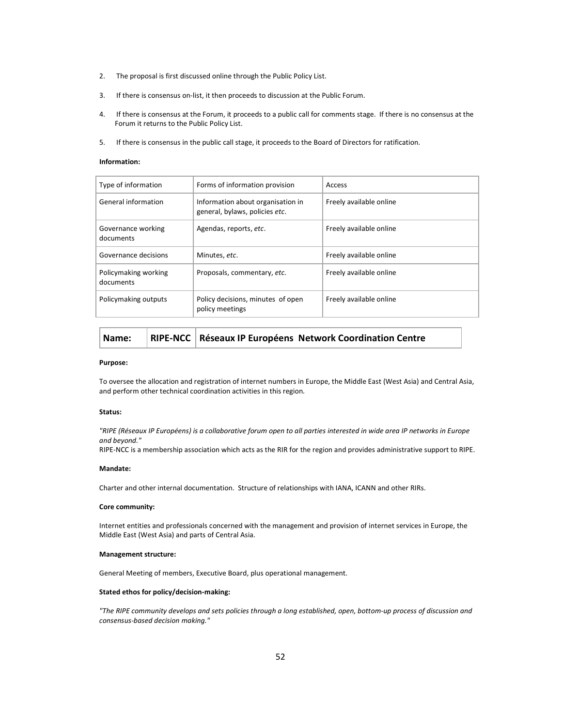- 2. The proposal is first discussed online through the Public Policy List.
- 3. If there is consensus on-list, it then proceeds to discussion at the Public Forum.
- 4. If there is consensus at the Forum, it proceeds to a public call for comments stage. If there is no consensus at the Forum it returns to the Public Policy List.
- 5. If there is consensus in the public call stage, it proceeds to the Board of Directors for ratification.

### Information:

| Type of information               | Forms of information provision                                      | Access                  |
|-----------------------------------|---------------------------------------------------------------------|-------------------------|
| General information               | Information about organisation in<br>general, bylaws, policies etc. | Freely available online |
| Governance working<br>documents   | Agendas, reports, etc.                                              | Freely available online |
| Governance decisions              | Minutes, etc.                                                       | Freely available online |
| Policymaking working<br>documents | Proposals, commentary, etc.                                         | Freely available online |
| Policymaking outputs              | Policy decisions, minutes of open<br>policy meetings                | Freely available online |

| Name: |  |  | RIPE-NCC   Réseaux IP Européens Network Coordination Centre |
|-------|--|--|-------------------------------------------------------------|
|-------|--|--|-------------------------------------------------------------|

#### Purpose:

To oversee the allocation and registration of internet numbers in Europe, the Middle East (West Asia) and Central Asia, and perform other technical coordination activities in this region.

### Status:

"RIPE (Réseaux IP Européens) is a collaborative forum open to all parties interested in wide area IP networks in Europe and beyond."

RIPE-NCC is a membership association which acts as the RIR for the region and provides administrative support to RIPE.

### Mandate:

Charter and other internal documentation. Structure of relationships with IANA, ICANN and other RIRs.

#### Core community:

Internet entities and professionals concerned with the management and provision of internet services in Europe, the Middle East (West Asia) and parts of Central Asia.

#### Management structure:

General Meeting of members, Executive Board, plus operational management.

#### Stated ethos for policy/decision-making:

"The RIPE community develops and sets policies through a long established, open, bottom-up process of discussion and consensus-based decision making."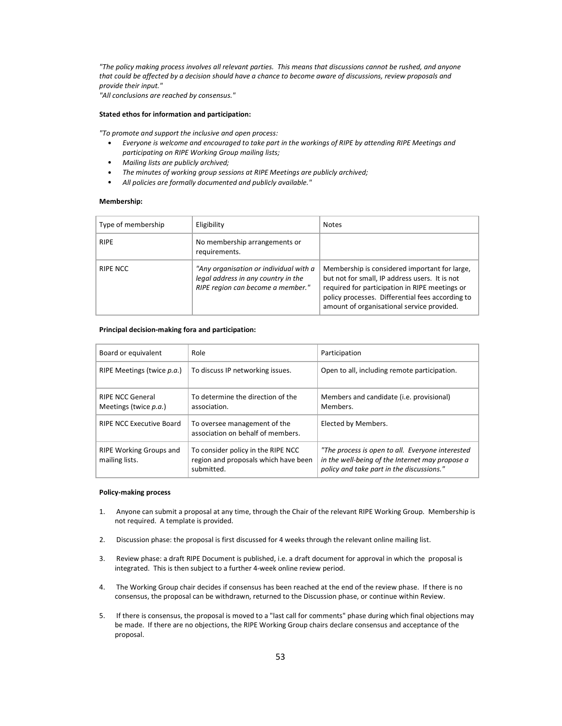"The policy making process involves all relevant parties. This means that discussions cannot be rushed, and anyone that could be affected by a decision should have a chance to become aware of discussions, review proposals and provide their input."

"All conclusions are reached by consensus."

#### Stated ethos for information and participation:

"To promote and support the inclusive and open process:

- Everyone is welcome and encouraged to take part in the workings of RIPE by attending RIPE Meetings and participating on RIPE Working Group mailing lists;
- Mailing lists are publicly archived;
- The minutes of working group sessions at RIPE Meetings are publicly archived;
- All policies are formally documented and publicly available."

# Membership:

| Type of membership | Eligibility                                                                                                        | <b>Notes</b>                                                                                                                                                                                                                                        |
|--------------------|--------------------------------------------------------------------------------------------------------------------|-----------------------------------------------------------------------------------------------------------------------------------------------------------------------------------------------------------------------------------------------------|
| <b>RIPE</b>        | No membership arrangements or<br>requirements.                                                                     |                                                                                                                                                                                                                                                     |
| RIPE NCC           | "Any organisation or individual with a<br>legal address in any country in the<br>RIPE region can become a member." | Membership is considered important for large,<br>but not for small, IP address users. It is not<br>required for participation in RIPE meetings or<br>policy processes. Differential fees according to<br>amount of organisational service provided. |

## Principal decision-making fora and participation:

| Board or equivalent                                      | Role                                                                                     | Participation                                                                                                                                    |
|----------------------------------------------------------|------------------------------------------------------------------------------------------|--------------------------------------------------------------------------------------------------------------------------------------------------|
| RIPE Meetings (twice p.a.)                               | To discuss IP networking issues.                                                         | Open to all, including remote participation.                                                                                                     |
| <b>RIPE NCC General</b><br>Meetings (twice <i>p.a.</i> ) | To determine the direction of the<br>association.                                        | Members and candidate (i.e. provisional)<br>Members.                                                                                             |
| <b>RIPE NCC Executive Board</b>                          | To oversee management of the<br>association on behalf of members.                        | Elected by Members.                                                                                                                              |
| <b>RIPE Working Groups and</b><br>mailing lists.         | To consider policy in the RIPE NCC<br>region and proposals which have been<br>submitted. | "The process is open to all. Everyone interested<br>in the well-being of the Internet may propose a<br>policy and take part in the discussions." |

### Policy-making process

- 1. Anyone can submit a proposal at any time, through the Chair of the relevant RIPE Working Group. Membership is not required. A template is provided.
- 2. Discussion phase: the proposal is first discussed for 4 weeks through the relevant online mailing list.
- 3. Review phase: a draft RIPE Document is published, i.e. a draft document for approval in which the proposal is integrated. This is then subject to a further 4-week online review period.
- 4. The Working Group chair decides if consensus has been reached at the end of the review phase. If there is no consensus, the proposal can be withdrawn, returned to the Discussion phase, or continue within Review.
- 5. If there is consensus, the proposal is moved to a "last call for comments" phase during which final objections may be made. If there are no objections, the RIPE Working Group chairs declare consensus and acceptance of the proposal.